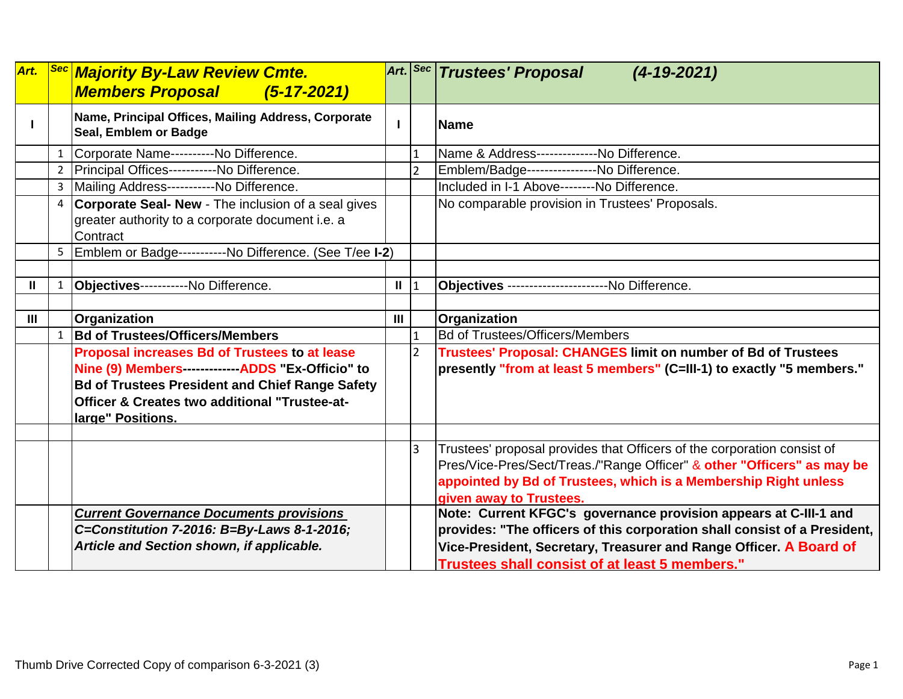| Art. | Sec | <b>Majority By-Law Review Cmte.</b><br><b>Members Proposal</b><br>$(5 - 17 - 2021)$                                                                                                                                                                  |                 |                | Art.   Sec   Trustees' Proposal<br>$(4 - 19 - 2021)$                                                                                                                                                                                             |
|------|-----|------------------------------------------------------------------------------------------------------------------------------------------------------------------------------------------------------------------------------------------------------|-----------------|----------------|--------------------------------------------------------------------------------------------------------------------------------------------------------------------------------------------------------------------------------------------------|
|      |     | Name, Principal Offices, Mailing Address, Corporate<br>Seal, Emblem or Badge                                                                                                                                                                         |                 |                | Name                                                                                                                                                                                                                                             |
|      |     | 1 Corporate Name----------No Difference.                                                                                                                                                                                                             |                 |                | Name & Address--------------No Difference.                                                                                                                                                                                                       |
|      |     | 2 Principal Offices----------No Difference.                                                                                                                                                                                                          |                 | $\overline{2}$ | Emblem/Badge----------------No Difference.                                                                                                                                                                                                       |
|      |     | 3 Mailing Address-----------No Difference.                                                                                                                                                                                                           |                 |                | Included in I-1 Above--------No Difference.                                                                                                                                                                                                      |
|      |     | 4 Corporate Seal- New - The inclusion of a seal gives<br>greater authority to a corporate document i.e. a<br>Contract                                                                                                                                |                 |                | No comparable provision in Trustees' Proposals.                                                                                                                                                                                                  |
|      |     | 5   Emblem or Badge-----------No Difference. (See T/ee I-2)                                                                                                                                                                                          |                 |                |                                                                                                                                                                                                                                                  |
|      |     |                                                                                                                                                                                                                                                      |                 |                |                                                                                                                                                                                                                                                  |
| Ш    |     | 1 <b>Objectives-----------No Difference.</b>                                                                                                                                                                                                         | $   \cdot   _1$ |                | Objectives ----------------------No Difference.                                                                                                                                                                                                  |
|      |     |                                                                                                                                                                                                                                                      |                 |                |                                                                                                                                                                                                                                                  |
| Ш    |     | Organization                                                                                                                                                                                                                                         | III             |                | Organization                                                                                                                                                                                                                                     |
|      |     | 1 Bd of Trustees/Officers/Members                                                                                                                                                                                                                    |                 | $\overline{1}$ | <b>Bd of Trustees/Officers/Members</b>                                                                                                                                                                                                           |
|      |     | <b>Proposal increases Bd of Trustees to at lease</b><br>Nine (9) Members-------------ADDS "Ex-Officio" to<br><b>Bd of Trustees President and Chief Range Safety</b><br><b>Officer &amp; Creates two additional "Trustee-at-</b><br>large" Positions. |                 | $\overline{2}$ | Trustees' Proposal: CHANGES limit on number of Bd of Trustees<br>presently "from at least 5 members" (C=III-1) to exactly "5 members."                                                                                                           |
|      |     |                                                                                                                                                                                                                                                      |                 |                |                                                                                                                                                                                                                                                  |
|      |     |                                                                                                                                                                                                                                                      |                 | l3             | Trustees' proposal provides that Officers of the corporation consist of<br>Pres/Vice-Pres/Sect/Treas./"Range Officer" & other "Officers" as may be<br>appointed by Bd of Trustees, which is a Membership Right unless<br>given away to Trustees. |
|      |     | <b>Current Governance Documents provisions</b>                                                                                                                                                                                                       |                 |                | Note: Current KFGC's governance provision appears at C-III-1 and                                                                                                                                                                                 |
|      |     | C=Constitution 7-2016: B=By-Laws 8-1-2016;                                                                                                                                                                                                           |                 |                | provides: "The officers of this corporation shall consist of a President,                                                                                                                                                                        |
|      |     | Article and Section shown, if applicable.                                                                                                                                                                                                            |                 |                | Vice-President, Secretary, Treasurer and Range Officer. A Board of                                                                                                                                                                               |
|      |     |                                                                                                                                                                                                                                                      |                 |                | Trustees shall consist of at least 5 members."                                                                                                                                                                                                   |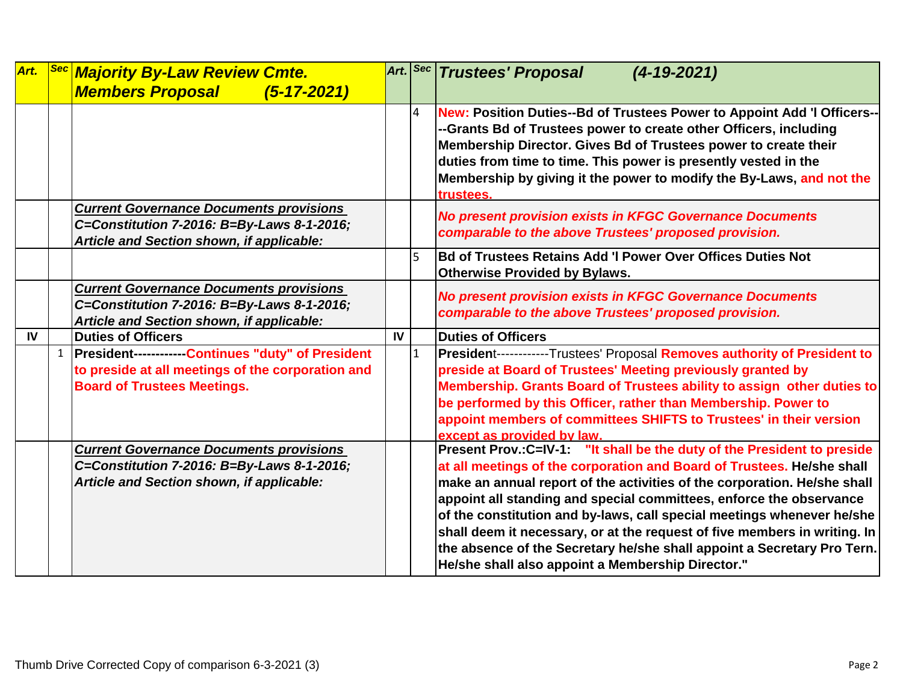| Art. | <mark>Sec</mark> | <b>Majority By-Law Review Cmte.</b>                                                                                                                | $Art.$ Sec |    | <b>Trustees' Proposal</b><br>$(4 - 19 - 2021)$                                                                                                                                                                                                                                                                                                                                                                                                                                                                                                                                               |
|------|------------------|----------------------------------------------------------------------------------------------------------------------------------------------------|------------|----|----------------------------------------------------------------------------------------------------------------------------------------------------------------------------------------------------------------------------------------------------------------------------------------------------------------------------------------------------------------------------------------------------------------------------------------------------------------------------------------------------------------------------------------------------------------------------------------------|
|      |                  | <b>Members Proposal</b><br>$(5 - 17 - 2021)$                                                                                                       |            |    |                                                                                                                                                                                                                                                                                                                                                                                                                                                                                                                                                                                              |
|      |                  |                                                                                                                                                    |            | 4  | New: Position Duties--Bd of Trustees Power to Appoint Add 'I Officers--<br>--Grants Bd of Trustees power to create other Officers, including<br>Membership Director. Gives Bd of Trustees power to create their<br>duties from time to time. This power is presently vested in the<br>Membership by giving it the power to modify the By-Laws, and not the<br>trustees.                                                                                                                                                                                                                      |
|      |                  | <b>Current Governance Documents provisions</b><br>C=Constitution 7-2016: B=By-Laws 8-1-2016;<br>Article and Section shown, if applicable:          |            |    | <b>No present provision exists in KFGC Governance Documents</b><br>comparable to the above Trustees' proposed provision.                                                                                                                                                                                                                                                                                                                                                                                                                                                                     |
|      |                  |                                                                                                                                                    |            | 5  | <b>Bd of Trustees Retains Add 'I Power Over Offices Duties Not</b><br><b>Otherwise Provided by Bylaws.</b>                                                                                                                                                                                                                                                                                                                                                                                                                                                                                   |
|      |                  | <b>Current Governance Documents provisions</b><br>C=Constitution 7-2016: B=By-Laws 8-1-2016;<br>Article and Section shown, if applicable:          |            |    | <b>No present provision exists in KFGC Governance Documents</b><br>comparable to the above Trustees' proposed provision.                                                                                                                                                                                                                                                                                                                                                                                                                                                                     |
| IV   |                  | <b>Duties of Officers</b>                                                                                                                          | <b>IV</b>  |    | <b>Duties of Officers</b>                                                                                                                                                                                                                                                                                                                                                                                                                                                                                                                                                                    |
|      |                  | 1   President------------ Continues "duty" of President<br>to preside at all meetings of the corporation and<br><b>Board of Trustees Meetings.</b> |            | I1 | President------------Trustees' Proposal Removes authority of President to<br>preside at Board of Trustees' Meeting previously granted by<br>Membership. Grants Board of Trustees ability to assign other duties to<br>be performed by this Officer, rather than Membership. Power to<br>appoint members of committees SHIFTS to Trustees' in their version<br>except as provided by law.                                                                                                                                                                                                     |
|      |                  | <b>Current Governance Documents provisions</b><br>C=Constitution 7-2016: B=By-Laws 8-1-2016;<br>Article and Section shown, if applicable:          |            |    | Present Prov.: C=IV-1: "It shall be the duty of the President to preside<br>at all meetings of the corporation and Board of Trustees. He/she shall<br>make an annual report of the activities of the corporation. He/she shall<br>appoint all standing and special committees, enforce the observance<br>of the constitution and by-laws, call special meetings whenever he/she<br>shall deem it necessary, or at the request of five members in writing. In<br>the absence of the Secretary he/she shall appoint a Secretary Pro Tern.<br>He/she shall also appoint a Membership Director." |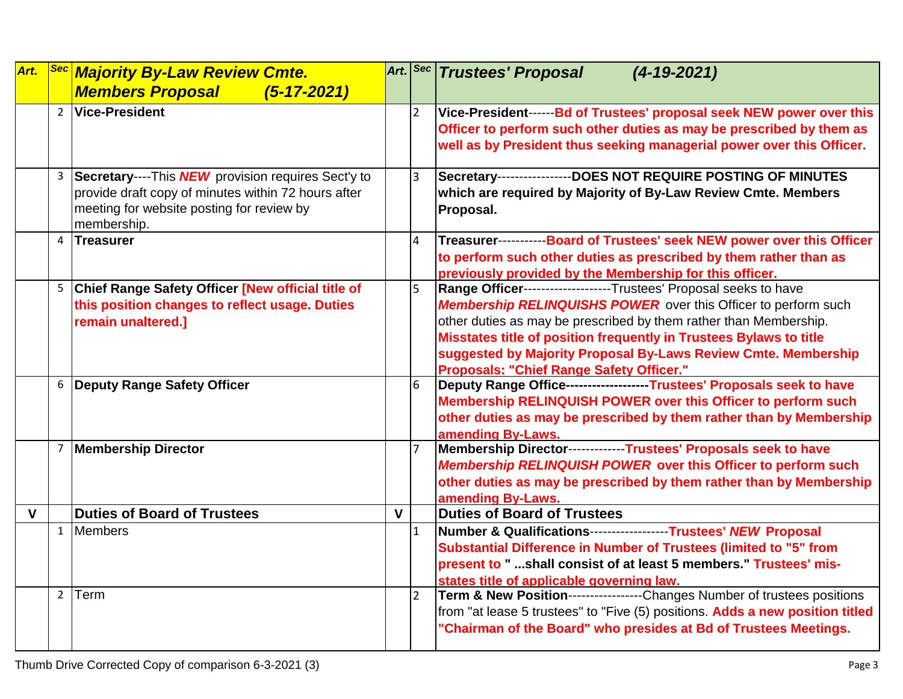| Art. |                | <b>Sec Majority By-Law Review Cmte.</b><br><b>Members Proposal</b><br>$(5 - 17 - 2021)$                                                                                        |              |                | Art.   Sec   Trustees' Proposal<br>$(4 - 19 - 2021)$                                                                                                                                                                                                                                                                                                                                                       |
|------|----------------|--------------------------------------------------------------------------------------------------------------------------------------------------------------------------------|--------------|----------------|------------------------------------------------------------------------------------------------------------------------------------------------------------------------------------------------------------------------------------------------------------------------------------------------------------------------------------------------------------------------------------------------------------|
|      |                | 2 Vice-President                                                                                                                                                               |              | $\overline{2}$ | Vice-President------ Bd of Trustees' proposal seek NEW power over this<br>Officer to perform such other duties as may be prescribed by them as<br>well as by President thus seeking managerial power over this Officer.                                                                                                                                                                                    |
|      |                | 3 Secretary----This <b>NEW</b> provision requires Sect'y to<br>provide draft copy of minutes within 72 hours after<br>meeting for website posting for review by<br>membership. |              | $\overline{3}$ | Secretary----------------DOES NOT REQUIRE POSTING OF MINUTES<br>which are required by Majority of By-Law Review Cmte. Members<br>Proposal.                                                                                                                                                                                                                                                                 |
|      |                | 4 Treasurer                                                                                                                                                                    |              | $\overline{4}$ | Treasurer-----------Board of Trustees' seek NEW power over this Officer<br>to perform such other duties as prescribed by them rather than as<br>previously provided by the Membership for this officer.                                                                                                                                                                                                    |
|      |                | 5 Chief Range Safety Officer [New official title of<br>this position changes to reflect usage. Duties<br>remain unaltered.]                                                    |              | 5              | Range Officer--------------------Trustees' Proposal seeks to have<br><b>Membership RELINQUISHS POWER</b> over this Officer to perform such<br>other duties as may be prescribed by them rather than Membership.<br>Misstates title of position frequently in Trustees Bylaws to title<br>suggested by Majority Proposal By-Laws Review Cmte. Membership<br><b>Proposals: "Chief Range Safety Officer."</b> |
|      |                | 6 Deputy Range Safety Officer                                                                                                                                                  |              | 6              | Deputy Range Office------------------Trustees' Proposals seek to have<br>Membership RELINQUISH POWER over this Officer to perform such<br>other duties as may be prescribed by them rather than by Membership<br>amending By-Laws.                                                                                                                                                                         |
|      |                | 7 Membership Director                                                                                                                                                          |              |                | Membership Director-------------Trustees' Proposals seek to have<br>Membership RELINQUISH POWER over this Officer to perform such<br>other duties as may be prescribed by them rather than by Membership<br>amending By-Laws.                                                                                                                                                                              |
| v    |                | <b>Duties of Board of Trustees</b>                                                                                                                                             | $\mathsf{V}$ |                | <b>Duties of Board of Trustees</b>                                                                                                                                                                                                                                                                                                                                                                         |
|      |                | 1 Members                                                                                                                                                                      |              | $\mathbf{1}$   | Number & Qualifications-----------------Trustees' NEW Proposal<br>Substantial Difference in Number of Trustees (limited to "5" from<br>present to " shall consist of at least 5 members." Trustees' mis-<br>states title of applicable governing law.                                                                                                                                                      |
|      | 2 <sup>1</sup> | Term                                                                                                                                                                           |              | $\overline{2}$ | Term & New Position------------------Changes Number of trustees positions<br>from "at lease 5 trustees" to "Five (5) positions. Adds a new position titled<br>'Chairman of the Board" who presides at Bd of Trustees Meetings.                                                                                                                                                                             |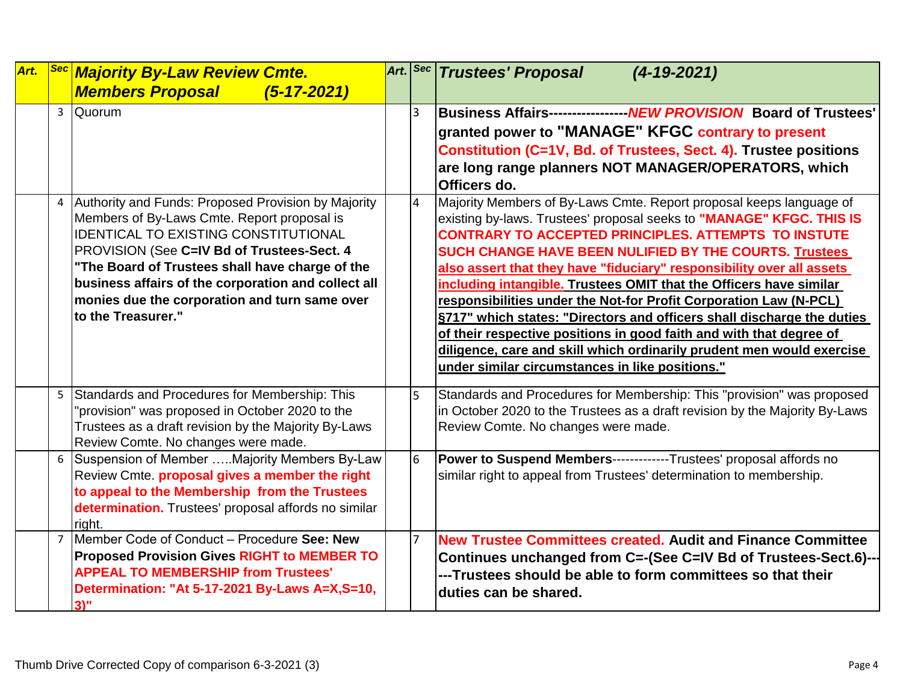| Art. | <b>Sec Majority By-Law Review Cmte.</b>                                                              | $Art.$ Sec     | <b>Trustees' Proposal</b><br>$(4 - 19 - 2021)$                                                                                          |
|------|------------------------------------------------------------------------------------------------------|----------------|-----------------------------------------------------------------------------------------------------------------------------------------|
|      | <b>Members Proposal</b><br>$(5 - 17 - 2021)$                                                         |                |                                                                                                                                         |
|      | 3 Quorum                                                                                             | 3              | Business Affairs------------------ NEW PROVISION Board of Trustees'                                                                     |
|      |                                                                                                      |                | granted power to "MANAGE" KFGC contrary to present                                                                                      |
|      |                                                                                                      |                | Constitution (C=1V, Bd. of Trustees, Sect. 4). Trustee positions                                                                        |
|      |                                                                                                      |                | are long range planners NOT MANAGER/OPERATORS, which                                                                                    |
|      | 4 Authority and Funds: Proposed Provision by Majority                                                | $\overline{4}$ | Officers do.<br>Majority Members of By-Laws Cmte. Report proposal keeps language of                                                     |
|      | Members of By-Laws Cmte. Report proposal is                                                          |                | existing by-laws. Trustees' proposal seeks to "MANAGE" KFGC. THIS IS                                                                    |
|      | <b>IDENTICAL TO EXISTING CONSTITUTIONAL</b>                                                          |                | <b>CONTRARY TO ACCEPTED PRINCIPLES, ATTEMPTS TO INSTUTE</b>                                                                             |
|      | PROVISION (See C=IV Bd of Trustees-Sect. 4                                                           |                | SUCH CHANGE HAVE BEEN NULIFIED BY THE COURTS. Trustees                                                                                  |
|      | "The Board of Trustees shall have charge of the                                                      |                | also assert that they have "fiduciary" responsibility over all assets                                                                   |
|      | business affairs of the corporation and collect all<br>monies due the corporation and turn same over |                | including intangible. Trustees OMIT that the Officers have similar<br>responsibilities under the Not-for Profit Corporation Law (N-PCL) |
|      | to the Treasurer."                                                                                   |                | §717" which states: "Directors and officers shall discharge the duties                                                                  |
|      |                                                                                                      |                | of their respective positions in good faith and with that degree of                                                                     |
|      |                                                                                                      |                | diligence, care and skill which ordinarily prudent men would exercise                                                                   |
|      |                                                                                                      |                | under similar circumstances in like positions."                                                                                         |
|      | 5 Standards and Procedures for Membership: This                                                      | 5              | Standards and Procedures for Membership: This "provision" was proposed                                                                  |
|      | 'provision" was proposed in October 2020 to the                                                      |                | in October 2020 to the Trustees as a draft revision by the Majority By-Laws                                                             |
|      | Trustees as a draft revision by the Majority By-Laws<br>Review Comte. No changes were made.          |                | Review Comte. No changes were made.                                                                                                     |
|      | 6 Suspension of Member Majority Members By-Law                                                       | l6             | Power to Suspend Members------------Trustees' proposal affords no                                                                       |
|      | Review Cmte. proposal gives a member the right                                                       |                | similar right to appeal from Trustees' determination to membership.                                                                     |
|      | to appeal to the Membership from the Trustees                                                        |                |                                                                                                                                         |
|      | determination. Trustees' proposal affords no similar<br>right.                                       |                |                                                                                                                                         |
|      | 7 Member Code of Conduct – Procedure See: New                                                        | $\overline{7}$ | New Trustee Committees created. Audit and Finance Committee                                                                             |
|      | <b>Proposed Provision Gives RIGHT to MEMBER TO</b>                                                   |                | Continues unchanged from C=-(See C=IV Bd of Trustees-Sect.6)---                                                                         |
|      | <b>APPEAL TO MEMBERSHIP from Trustees'</b>                                                           |                | ---Trustees should be able to form committees so that their                                                                             |
|      | Determination: "At 5-17-2021 By-Laws A=X,S=10,<br>$3)$ "                                             |                | lduties can be shared.                                                                                                                  |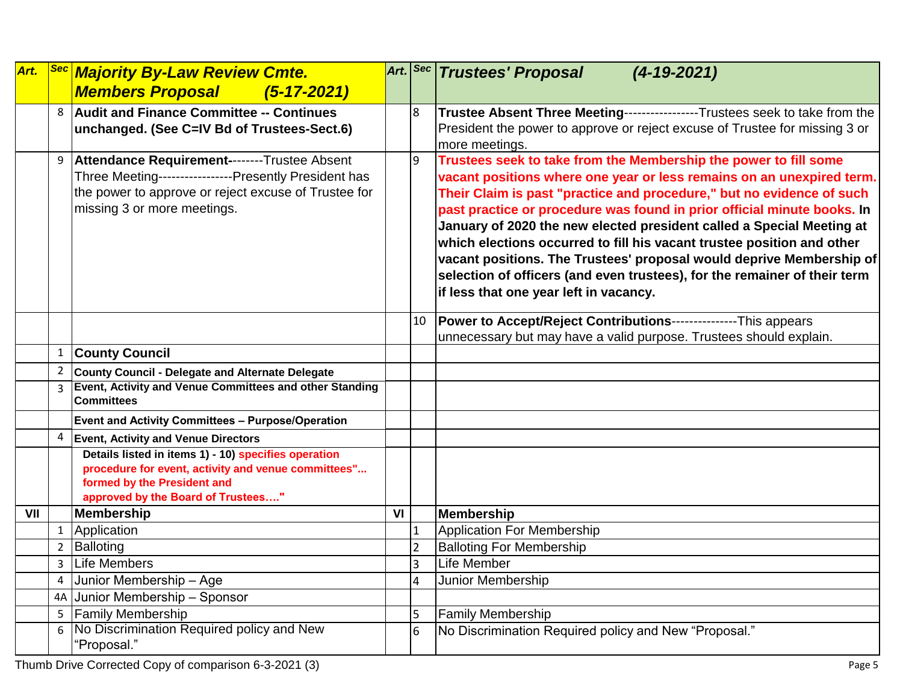| Art. |                | <b>Sec</b> Majority By-Law Review Cmte.                                                                                                                                                        |    |                      | Art.   Sec   Trustees' Proposal<br>$(4 - 19 - 2021)$                                                                                                                                                                                                                                                                                                                                                                                                                                                                                                                                                                                            |
|------|----------------|------------------------------------------------------------------------------------------------------------------------------------------------------------------------------------------------|----|----------------------|-------------------------------------------------------------------------------------------------------------------------------------------------------------------------------------------------------------------------------------------------------------------------------------------------------------------------------------------------------------------------------------------------------------------------------------------------------------------------------------------------------------------------------------------------------------------------------------------------------------------------------------------------|
|      |                | <b>Members Proposal (5-17-2021)</b>                                                                                                                                                            |    |                      |                                                                                                                                                                                                                                                                                                                                                                                                                                                                                                                                                                                                                                                 |
|      |                | 8 Audit and Finance Committee -- Continues<br>unchanged. (See C=IV Bd of Trustees-Sect.6)                                                                                                      |    | 8                    | Trustee Absent Three Meeting----------------Trustees seek to take from the<br>President the power to approve or reject excuse of Trustee for missing 3 or<br>more meetings.                                                                                                                                                                                                                                                                                                                                                                                                                                                                     |
|      |                | 9 Attendance Requirement--------Trustee Absent<br>Three Meeting-----------------Presently President has<br>the power to approve or reject excuse of Trustee for<br>missing 3 or more meetings. |    | $\overline{9}$       | Trustees seek to take from the Membership the power to fill some<br>vacant positions where one year or less remains on an unexpired term.<br>Their Claim is past "practice and procedure," but no evidence of such<br>past practice or procedure was found in prior official minute books. In<br>January of 2020 the new elected president called a Special Meeting at<br>which elections occurred to fill his vacant trustee position and other<br>vacant positions. The Trustees' proposal would deprive Membership of<br>selection of officers (and even trustees), for the remainer of their term<br>if less that one year left in vacancy. |
|      |                |                                                                                                                                                                                                |    | 10                   | <b>Power to Accept/Reject Contributions---------------This appears</b><br>unnecessary but may have a valid purpose. Trustees should explain.                                                                                                                                                                                                                                                                                                                                                                                                                                                                                                    |
|      |                | 1 County Council                                                                                                                                                                               |    |                      |                                                                                                                                                                                                                                                                                                                                                                                                                                                                                                                                                                                                                                                 |
|      |                | County Council - Delegate and Alternate Delegate                                                                                                                                               |    |                      |                                                                                                                                                                                                                                                                                                                                                                                                                                                                                                                                                                                                                                                 |
|      | $\overline{3}$ | Event, Activity and Venue Committees and other Standing<br><b>Committees</b>                                                                                                                   |    |                      |                                                                                                                                                                                                                                                                                                                                                                                                                                                                                                                                                                                                                                                 |
|      |                | <b>Event and Activity Committees - Purpose/Operation</b>                                                                                                                                       |    |                      |                                                                                                                                                                                                                                                                                                                                                                                                                                                                                                                                                                                                                                                 |
|      |                | <b>Event, Activity and Venue Directors</b>                                                                                                                                                     |    |                      |                                                                                                                                                                                                                                                                                                                                                                                                                                                                                                                                                                                                                                                 |
|      |                | Details listed in items 1) - 10) specifies operation<br>procedure for event, activity and venue committees"<br>formed by the President and<br>approved by the Board of Trustees"               |    |                      |                                                                                                                                                                                                                                                                                                                                                                                                                                                                                                                                                                                                                                                 |
| VII  |                | <b>Membership</b>                                                                                                                                                                              | VI |                      | <b>Membership</b>                                                                                                                                                                                                                                                                                                                                                                                                                                                                                                                                                                                                                               |
|      |                | 1 Application                                                                                                                                                                                  |    |                      | <b>Application For Membership</b>                                                                                                                                                                                                                                                                                                                                                                                                                                                                                                                                                                                                               |
|      |                | 2   Balloting                                                                                                                                                                                  |    | $\overline{2}$       | <b>Balloting For Membership</b>                                                                                                                                                                                                                                                                                                                                                                                                                                                                                                                                                                                                                 |
|      |                | 3 Life Members                                                                                                                                                                                 |    | 3                    | Life Member                                                                                                                                                                                                                                                                                                                                                                                                                                                                                                                                                                                                                                     |
|      |                | Junior Membership - Age                                                                                                                                                                        |    | $\overline{a}$       | Junior Membership                                                                                                                                                                                                                                                                                                                                                                                                                                                                                                                                                                                                                               |
|      | 4A             | Junior Membership - Sponsor                                                                                                                                                                    |    |                      | <b>Family Membership</b>                                                                                                                                                                                                                                                                                                                                                                                                                                                                                                                                                                                                                        |
|      | 6              | 5   Family Membership<br>No Discrimination Required policy and New<br>"Proposal."                                                                                                              |    | 5<br>$6\phantom{1}6$ | No Discrimination Required policy and New "Proposal."                                                                                                                                                                                                                                                                                                                                                                                                                                                                                                                                                                                           |

Thumb Drive Corrected Copy of comparison 6-3-2021 (3) Page 5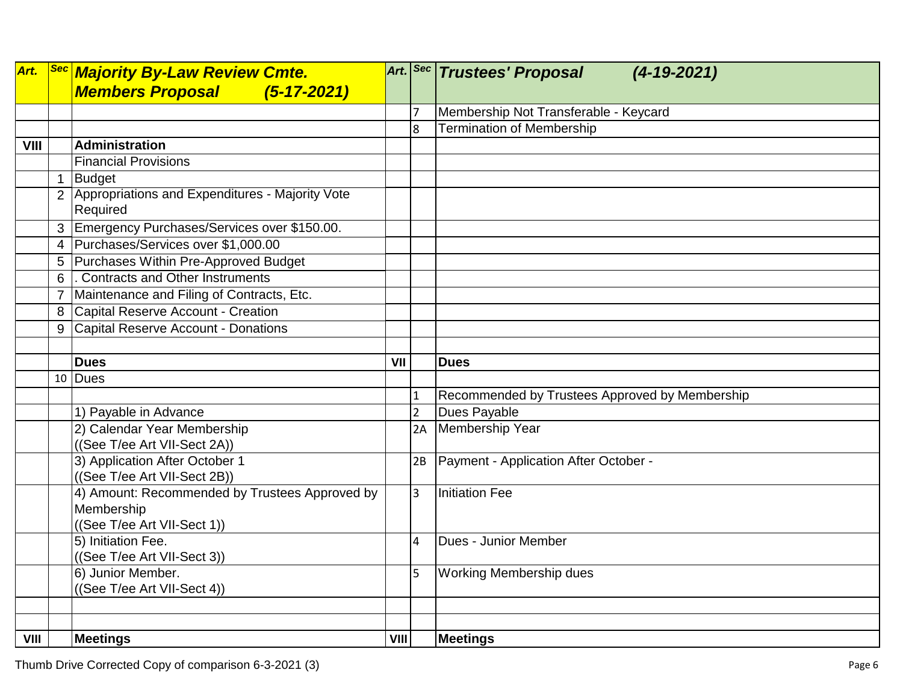| Art. |                | <b>Sec Majority By-Law Review Cmte.</b>                        |     | Art. Sec       | <b>Trustees' Proposal</b><br>$(4 - 19 - 2021)$ |
|------|----------------|----------------------------------------------------------------|-----|----------------|------------------------------------------------|
|      |                | <b>Members Proposal</b><br>$(5 - 17 - 2021)$                   |     |                |                                                |
|      |                |                                                                |     | 7              | Membership Not Transferable - Keycard          |
|      |                |                                                                |     | $\overline{8}$ | <b>Termination of Membership</b>               |
| VIII |                | <b>Administration</b>                                          |     |                |                                                |
|      |                | <b>Financial Provisions</b>                                    |     |                |                                                |
|      |                | Budget                                                         |     |                |                                                |
|      |                | 2 Appropriations and Expenditures - Majority Vote<br>Required  |     |                |                                                |
|      |                | 3 Emergency Purchases/Services over \$150.00.                  |     |                |                                                |
|      |                | 4 Purchases/Services over \$1,000.00                           |     |                |                                                |
|      |                | 5 Purchases Within Pre-Approved Budget                         |     |                |                                                |
|      | 6 <sup>1</sup> | . Contracts and Other Instruments                              |     |                |                                                |
|      |                | Maintenance and Filing of Contracts, Etc.                      |     |                |                                                |
|      |                | 8 Capital Reserve Account - Creation                           |     |                |                                                |
|      |                | 9 Capital Reserve Account - Donations                          |     |                |                                                |
|      |                |                                                                |     |                |                                                |
|      |                | <b>Dues</b>                                                    | VII |                | <b>Dues</b>                                    |
|      |                |                                                                |     |                |                                                |
|      |                | 10 Dues                                                        |     |                |                                                |
|      |                |                                                                |     | $\overline{1}$ | Recommended by Trustees Approved by Membership |
|      |                | 1) Payable in Advance                                          |     | $\overline{2}$ | <b>Dues Payable</b>                            |
|      |                | 2) Calendar Year Membership                                    |     | 2A             | <b>Membership Year</b>                         |
|      |                | ((See T/ee Art VII-Sect 2A))<br>3) Application After October 1 |     | 2B             | Payment - Application After October -          |
|      |                | ((See T/ee Art VII-Sect 2B))                                   |     |                |                                                |
|      |                | 4) Amount: Recommended by Trustees Approved by                 |     | $\overline{3}$ | <b>Initiation Fee</b>                          |
|      |                | Membership                                                     |     |                |                                                |
|      |                | ((See T/ee Art VII-Sect 1))                                    |     |                |                                                |
|      |                | 5) Initiation Fee.                                             |     | $\overline{4}$ | Dues - Junior Member                           |
|      |                | ((See T/ee Art VII-Sect 3))                                    |     |                |                                                |
|      |                | 6) Junior Member.                                              |     | $\overline{5}$ | <b>Working Membership dues</b>                 |
|      |                | ((See T/ee Art VII-Sect 4))                                    |     |                |                                                |
|      |                |                                                                |     |                |                                                |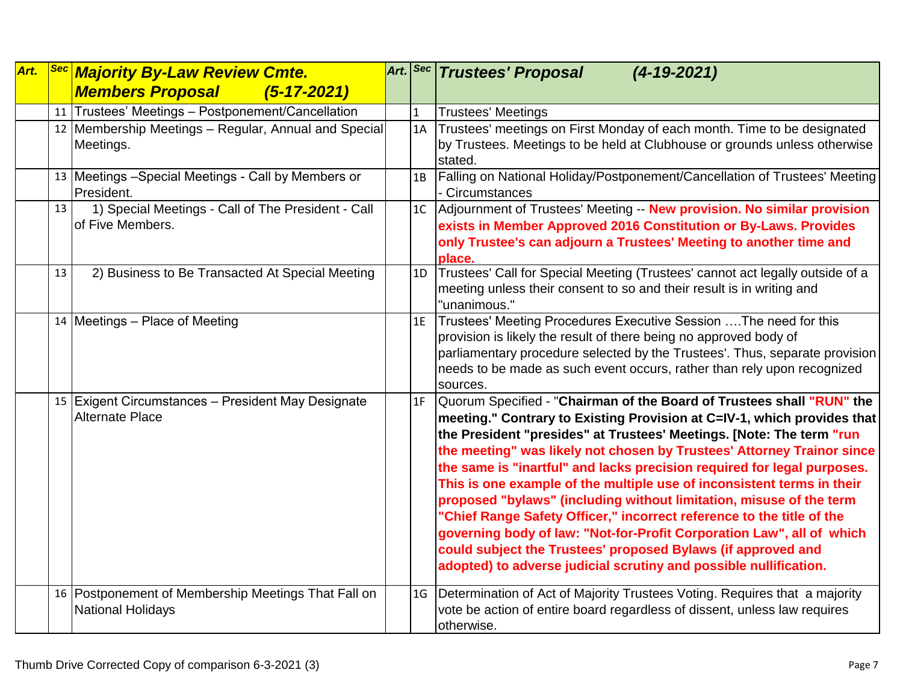| Art. |    | <b>Sec Majority By-Law Review Cmte.</b>                                         |              | Art.   Sec   Trustees' Proposal<br>$(4 - 19 - 2021)$                                                                                                                                                                                                                                                                                                                                                                                                                                                                                                                                                                                                                                                                                                                                                                  |
|------|----|---------------------------------------------------------------------------------|--------------|-----------------------------------------------------------------------------------------------------------------------------------------------------------------------------------------------------------------------------------------------------------------------------------------------------------------------------------------------------------------------------------------------------------------------------------------------------------------------------------------------------------------------------------------------------------------------------------------------------------------------------------------------------------------------------------------------------------------------------------------------------------------------------------------------------------------------|
|      |    | <b>Members Proposal</b><br>$(5 - 17 - 2021)$                                    |              |                                                                                                                                                                                                                                                                                                                                                                                                                                                                                                                                                                                                                                                                                                                                                                                                                       |
|      |    | 11 Trustees' Meetings - Postponement/Cancellation                               | $\mathbf{1}$ | <b>Trustees' Meetings</b>                                                                                                                                                                                                                                                                                                                                                                                                                                                                                                                                                                                                                                                                                                                                                                                             |
|      |    | 12 Membership Meetings - Regular, Annual and Special                            | 1A           | Trustees' meetings on First Monday of each month. Time to be designated                                                                                                                                                                                                                                                                                                                                                                                                                                                                                                                                                                                                                                                                                                                                               |
|      |    | Meetings.                                                                       |              | by Trustees. Meetings to be held at Clubhouse or grounds unless otherwise<br>stated.                                                                                                                                                                                                                                                                                                                                                                                                                                                                                                                                                                                                                                                                                                                                  |
|      |    | 13 Meetings -Special Meetings - Call by Members or<br>President.                | 1B           | Falling on National Holiday/Postponement/Cancellation of Trustees' Meeting<br>Circumstances                                                                                                                                                                                                                                                                                                                                                                                                                                                                                                                                                                                                                                                                                                                           |
|      | 13 | 1) Special Meetings - Call of The President - Call<br>of Five Members.          |              | 1C   Adjournment of Trustees' Meeting -- New provision. No similar provision<br>exists in Member Approved 2016 Constitution or By-Laws. Provides<br>only Trustee's can adjourn a Trustees' Meeting to another time and<br>place.                                                                                                                                                                                                                                                                                                                                                                                                                                                                                                                                                                                      |
|      | 13 | 2) Business to Be Transacted At Special Meeting                                 | 1D           | Trustees' Call for Special Meeting (Trustees' cannot act legally outside of a<br>meeting unless their consent to so and their result is in writing and<br>"unanimous."                                                                                                                                                                                                                                                                                                                                                                                                                                                                                                                                                                                                                                                |
|      |    | 14 Meetings – Place of Meeting                                                  | 1E           | Trustees' Meeting Procedures Executive Session  The need for this<br>provision is likely the result of there being no approved body of<br>parliamentary procedure selected by the Trustees'. Thus, separate provision<br>needs to be made as such event occurs, rather than rely upon recognized<br>sources.                                                                                                                                                                                                                                                                                                                                                                                                                                                                                                          |
|      |    | 15 Exigent Circumstances - President May Designate<br><b>Alternate Place</b>    | 1F           | Quorum Specified - "Chairman of the Board of Trustees shall "RUN" the<br>meeting." Contrary to Existing Provision at C=IV-1, which provides that<br>the President "presides" at Trustees' Meetings. [Note: The term "run<br>the meeting" was likely not chosen by Trustees' Attorney Trainor since<br>the same is "inartful" and lacks precision required for legal purposes.<br>This is one example of the multiple use of inconsistent terms in their<br>proposed "bylaws" (including without limitation, misuse of the term<br>"Chief Range Safety Officer," incorrect reference to the title of the<br>governing body of law: "Not-for-Profit Corporation Law", all of which<br>could subject the Trustees' proposed Bylaws (if approved and<br>adopted) to adverse judicial scrutiny and possible nullification. |
|      |    | 16 Postponement of Membership Meetings That Fall on<br><b>National Holidays</b> |              | 1G   Determination of Act of Majority Trustees Voting. Requires that a majority<br>vote be action of entire board regardless of dissent, unless law requires<br>otherwise.                                                                                                                                                                                                                                                                                                                                                                                                                                                                                                                                                                                                                                            |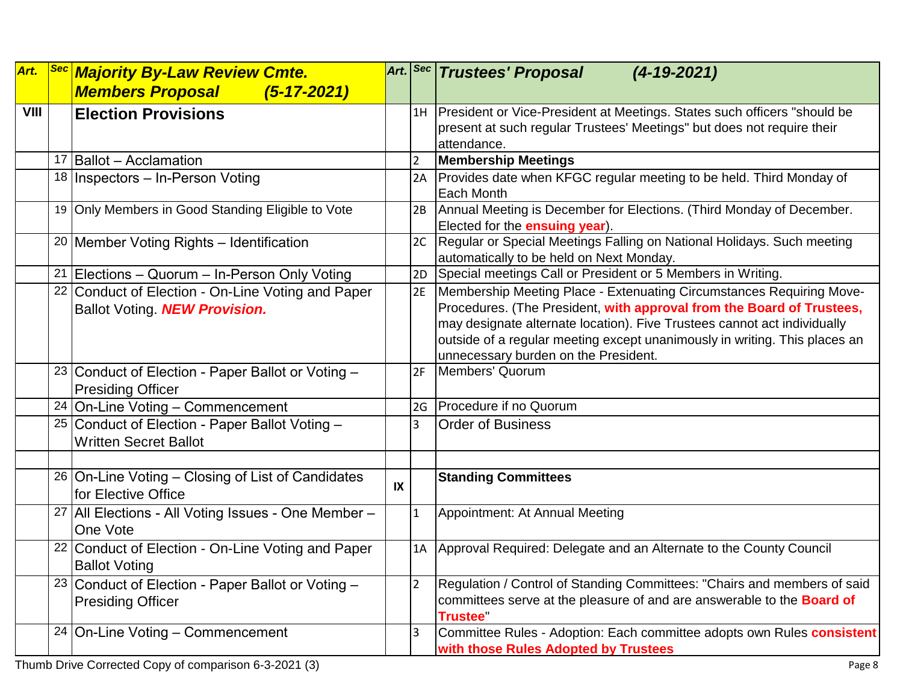| Art.        | Sec | <b>Majority By-Law Review Cmte.</b>                                                       |    |                | Art.   Sec   Trustees' Proposal<br>$(4 - 19 - 2021)$                                                                                                                                                                                                                                                                                            |
|-------------|-----|-------------------------------------------------------------------------------------------|----|----------------|-------------------------------------------------------------------------------------------------------------------------------------------------------------------------------------------------------------------------------------------------------------------------------------------------------------------------------------------------|
|             |     | <b>Members Proposal</b><br>$(5 - 17 - 2021)$                                              |    |                |                                                                                                                                                                                                                                                                                                                                                 |
| <b>VIII</b> |     | <b>Election Provisions</b>                                                                |    | 1H             | President or Vice-President at Meetings. States such officers "should be<br>present at such regular Trustees' Meetings" but does not require their<br>attendance.                                                                                                                                                                               |
|             |     | 17 Ballot - Acclamation                                                                   |    | $\overline{2}$ | <b>Membership Meetings</b>                                                                                                                                                                                                                                                                                                                      |
|             |     | 18   Inspectors - In-Person Voting                                                        |    | 2A             | Provides date when KFGC regular meeting to be held. Third Monday of<br><b>Each Month</b>                                                                                                                                                                                                                                                        |
|             |     | 19   Only Members in Good Standing Eligible to Vote                                       |    | 2B             | Annual Meeting is December for Elections. (Third Monday of December.<br>Elected for the ensuing year).                                                                                                                                                                                                                                          |
|             |     | 20 Member Voting Rights - Identification                                                  |    |                | 2C Regular or Special Meetings Falling on National Holidays. Such meeting<br>automatically to be held on Next Monday.                                                                                                                                                                                                                           |
|             |     | 21 Elections - Quorum - In-Person Only Voting                                             |    | 2D             | Special meetings Call or President or 5 Members in Writing.                                                                                                                                                                                                                                                                                     |
|             |     | 22 Conduct of Election - On-Line Voting and Paper<br><b>Ballot Voting. NEW Provision.</b> |    | 2E             | Membership Meeting Place - Extenuating Circumstances Requiring Move-<br>Procedures. (The President, with approval from the Board of Trustees,<br>may designate alternate location). Five Trustees cannot act individually<br>outside of a regular meeting except unanimously in writing. This places an<br>unnecessary burden on the President. |
|             |     | 23 Conduct of Election - Paper Ballot or Voting -<br><b>Presiding Officer</b>             |    | 2F             | Members' Quorum                                                                                                                                                                                                                                                                                                                                 |
|             |     | 24 On-Line Voting - Commencement                                                          |    | 2G             | Procedure if no Quorum                                                                                                                                                                                                                                                                                                                          |
|             |     | 25 Conduct of Election - Paper Ballot Voting -<br><b>Written Secret Ballot</b>            |    | 3              | <b>Order of Business</b>                                                                                                                                                                                                                                                                                                                        |
|             |     | 26 On-Line Voting – Closing of List of Candidates<br><b>Ifor Elective Office</b>          | IX |                | <b>Standing Committees</b>                                                                                                                                                                                                                                                                                                                      |
|             |     | 27 All Elections - All Voting Issues - One Member -<br>One Vote                           |    | 1              | Appointment: At Annual Meeting                                                                                                                                                                                                                                                                                                                  |
|             |     | 22 Conduct of Election - On-Line Voting and Paper<br><b>Ballot Voting</b>                 |    |                | 1A Approval Required: Delegate and an Alternate to the County Council                                                                                                                                                                                                                                                                           |
|             |     | 23 Conduct of Election - Paper Ballot or Voting -<br><b>Presiding Officer</b>             |    | $\overline{2}$ | Regulation / Control of Standing Committees: "Chairs and members of said<br>committees serve at the pleasure of and are answerable to the <b>Board of</b><br><b>Trustee"</b>                                                                                                                                                                    |
|             |     | 24 On-Line Voting – Commencement                                                          |    | 3              | Committee Rules - Adoption: Each committee adopts own Rules consistent<br>with those Rules Adopted by Trustees                                                                                                                                                                                                                                  |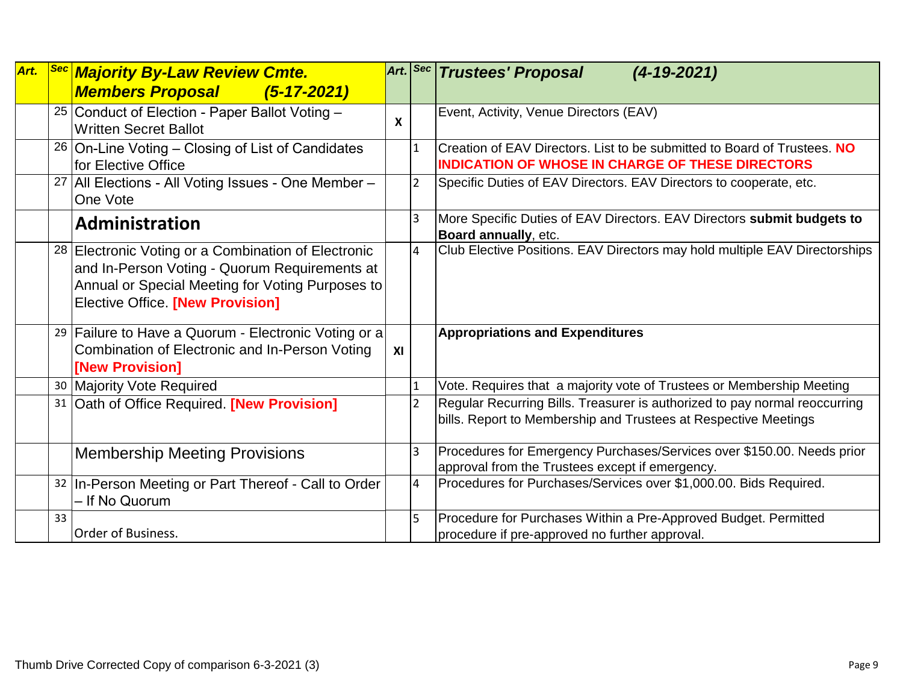| Art. |    | <b>Sec Majority By-Law Review Cmte.</b>                                                                                                                                                             |              |                | Art.   Sec   Trustees' Proposal<br>$(4 - 19 - 2021)$                                                                                          |
|------|----|-----------------------------------------------------------------------------------------------------------------------------------------------------------------------------------------------------|--------------|----------------|-----------------------------------------------------------------------------------------------------------------------------------------------|
|      |    | <b>Members Proposal</b><br>$(5 - 17 - 2021)$                                                                                                                                                        |              |                |                                                                                                                                               |
|      |    | 25 Conduct of Election - Paper Ballot Voting -<br><b>Written Secret Ballot</b>                                                                                                                      | $\mathbf{x}$ |                | Event, Activity, Venue Directors (EAV)                                                                                                        |
|      |    | 26 On-Line Voting – Closing of List of Candidates<br>for Elective Office                                                                                                                            |              | $\mathbf 1$    | Creation of EAV Directors. List to be submitted to Board of Trustees. NO<br><b>INDICATION OF WHOSE IN CHARGE OF THESE DIRECTORS</b>           |
|      |    | 27 All Elections - All Voting Issues - One Member -<br>One Vote                                                                                                                                     |              | $\overline{2}$ | Specific Duties of EAV Directors. EAV Directors to cooperate, etc.                                                                            |
|      |    | Administration                                                                                                                                                                                      |              | 3              | More Specific Duties of EAV Directors. EAV Directors submit budgets to<br>Board annually, etc.                                                |
|      |    | 28 Electronic Voting or a Combination of Electronic<br>and In-Person Voting - Quorum Requirements at<br>Annual or Special Meeting for Voting Purposes to<br><b>Elective Office. [New Provision]</b> |              | 4              | Club Elective Positions. EAV Directors may hold multiple EAV Directorships                                                                    |
|      |    | 29 Failure to Have a Quorum - Electronic Voting or a<br>Combination of Electronic and In-Person Voting<br>[New Provision]                                                                           | XI           |                | <b>Appropriations and Expenditures</b>                                                                                                        |
|      |    | 30 Majority Vote Required                                                                                                                                                                           |              | 1              | Vote. Requires that a majority vote of Trustees or Membership Meeting                                                                         |
|      |    | 31 Oath of Office Required. [New Provision]                                                                                                                                                         |              | 2              | Regular Recurring Bills. Treasurer is authorized to pay normal reoccurring<br>bills. Report to Membership and Trustees at Respective Meetings |
|      |    | <b>Membership Meeting Provisions</b>                                                                                                                                                                |              | 3              | Procedures for Emergency Purchases/Services over \$150.00. Needs prior<br>approval from the Trustees except if emergency.                     |
|      |    | 32 In-Person Meeting or Part Thereof - Call to Order<br>- If No Quorum                                                                                                                              |              | $\overline{4}$ | Procedures for Purchases/Services over \$1,000.00. Bids Required.                                                                             |
|      | 33 | <b>Order of Business.</b>                                                                                                                                                                           |              | 5              | Procedure for Purchases Within a Pre-Approved Budget. Permitted<br>procedure if pre-approved no further approval.                             |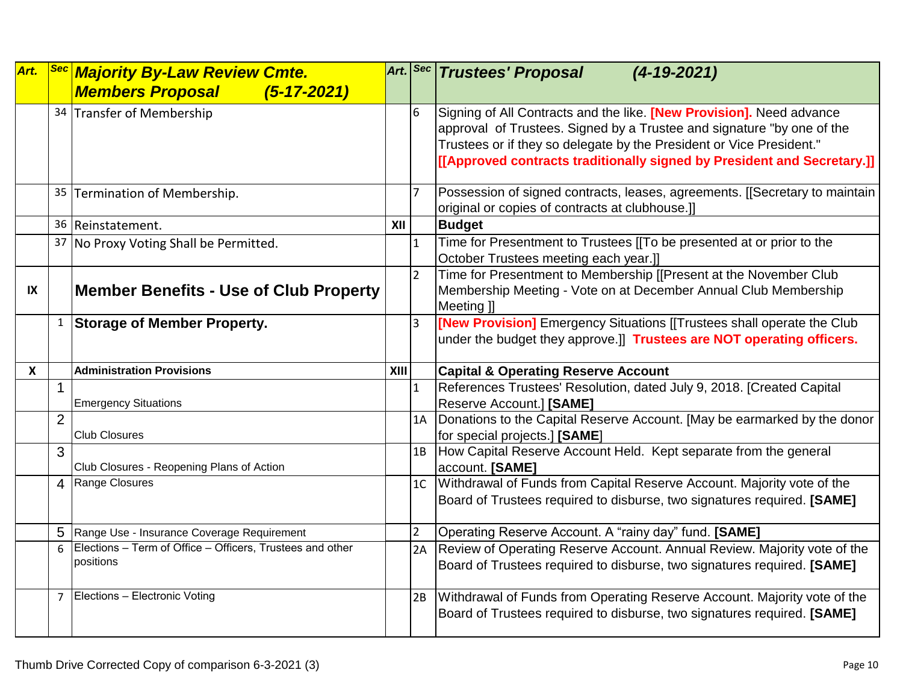| Art.                   |                | <b>Sec Majority By-Law Review Cmte.</b>                                    |      |                | Art.   Sec   Trustees' Proposal<br>$(4 - 19 - 2021)$                                                                                                                                                                                                                                              |
|------------------------|----------------|----------------------------------------------------------------------------|------|----------------|---------------------------------------------------------------------------------------------------------------------------------------------------------------------------------------------------------------------------------------------------------------------------------------------------|
|                        |                | <b>Members Proposal</b><br>$(5 - 17 - 2021)$                               |      |                |                                                                                                                                                                                                                                                                                                   |
|                        |                | 34 Transfer of Membership                                                  |      | 6              | Signing of All Contracts and the like. [New Provision]. Need advance<br>approval of Trustees. Signed by a Trustee and signature "by one of the<br>Trustees or if they so delegate by the President or Vice President."<br>[[Approved contracts traditionally signed by President and Secretary.]] |
|                        |                | 35 Termination of Membership.                                              |      | 7              | Possession of signed contracts, leases, agreements. [[Secretary to maintain<br>original or copies of contracts at clubhouse.]]                                                                                                                                                                    |
|                        |                | 36   Reinstatement.                                                        | XII  |                | <b>Budget</b>                                                                                                                                                                                                                                                                                     |
|                        |                | 37 No Proxy Voting Shall be Permitted.                                     |      | 1              | Time for Presentment to Trustees [[To be presented at or prior to the<br>October Trustees meeting each year.]]                                                                                                                                                                                    |
| $\mathsf{I}\mathsf{X}$ |                | <b>Member Benefits - Use of Club Property</b>                              |      | $\overline{2}$ | Time for Presentment to Membership [[Present at the November Club<br>Membership Meeting - Vote on at December Annual Club Membership<br>Meeting 11                                                                                                                                                |
|                        |                | <sup>1</sup> Storage of Member Property.                                   |      | $\overline{3}$ | [New Provision] Emergency Situations [[Trustees shall operate the Club<br>under the budget they approve.]] Trustees are NOT operating officers.                                                                                                                                                   |
| $\boldsymbol{X}$       |                | <b>Administration Provisions</b>                                           | XIII |                | <b>Capital &amp; Operating Reserve Account</b>                                                                                                                                                                                                                                                    |
|                        | $\mathbf{1}$   | <b>Emergency Situations</b>                                                |      | 1              | References Trustees' Resolution, dated July 9, 2018. [Created Capital<br>Reserve Account.] [SAME]                                                                                                                                                                                                 |
|                        | $\overline{2}$ | <b>Club Closures</b>                                                       |      |                | 1A Donations to the Capital Reserve Account. [May be earmarked by the donor<br>for special projects.] [SAME]                                                                                                                                                                                      |
|                        | 3              | Club Closures - Reopening Plans of Action                                  |      | 1B             | How Capital Reserve Account Held. Kept separate from the general<br>account. [SAME]                                                                                                                                                                                                               |
|                        |                | 4 Range Closures                                                           |      |                | 1C Withdrawal of Funds from Capital Reserve Account. Majority vote of the<br>Board of Trustees required to disburse, two signatures required. [SAME]                                                                                                                                              |
|                        |                | 5 Range Use - Insurance Coverage Requirement                               |      | $\overline{2}$ | Operating Reserve Account. A "rainy day" fund. [SAME]                                                                                                                                                                                                                                             |
|                        |                | $6$ Elections – Term of Office – Officers, Trustees and other<br>positions |      | 2A             | Review of Operating Reserve Account. Annual Review. Majority vote of the<br>Board of Trustees required to disburse, two signatures required. [SAME]                                                                                                                                               |
|                        |                | 7 Elections - Electronic Voting                                            |      |                | 2B Withdrawal of Funds from Operating Reserve Account. Majority vote of the<br>Board of Trustees required to disburse, two signatures required. [SAME]                                                                                                                                            |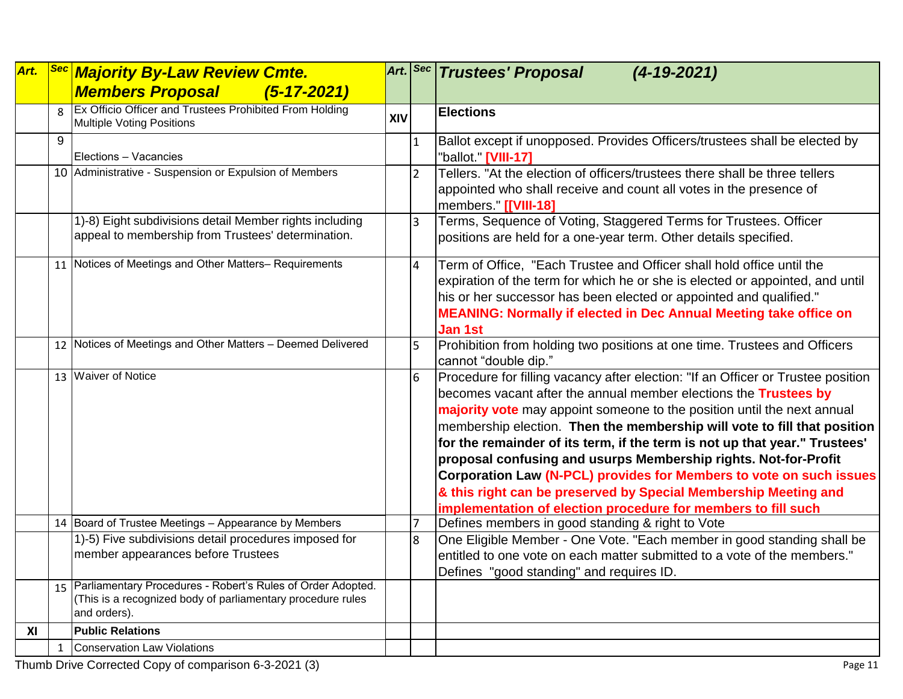| Art. | <b>Sec</b>   | <b>Majority By-Law Review Cmte.</b>                                                                                                           |            |                 | Art.   Sec   Trustees' Proposal<br>$(4 - 19 - 2021)$                                                                                                                                                                                                                                                                                                                                                                                                                                                                                                                                                                                                                    |
|------|--------------|-----------------------------------------------------------------------------------------------------------------------------------------------|------------|-----------------|-------------------------------------------------------------------------------------------------------------------------------------------------------------------------------------------------------------------------------------------------------------------------------------------------------------------------------------------------------------------------------------------------------------------------------------------------------------------------------------------------------------------------------------------------------------------------------------------------------------------------------------------------------------------------|
|      |              | <b>Members Proposal</b><br><u>(5-17-2021)</u>                                                                                                 |            |                 |                                                                                                                                                                                                                                                                                                                                                                                                                                                                                                                                                                                                                                                                         |
|      | $\mathsf{R}$ | Ex Officio Officer and Trustees Prohibited From Holding<br><b>Multiple Voting Positions</b>                                                   | <b>XIV</b> |                 | <b>Elections</b>                                                                                                                                                                                                                                                                                                                                                                                                                                                                                                                                                                                                                                                        |
|      | 9            | Elections - Vacancies                                                                                                                         |            |                 | Ballot except if unopposed. Provides Officers/trustees shall be elected by<br>"ballot." [VIII-17]                                                                                                                                                                                                                                                                                                                                                                                                                                                                                                                                                                       |
|      |              | 10 Administrative - Suspension or Expulsion of Members                                                                                        |            | $\overline{2}$  | Tellers. "At the election of officers/trustees there shall be three tellers<br>appointed who shall receive and count all votes in the presence of<br>members." [[VIII-18]                                                                                                                                                                                                                                                                                                                                                                                                                                                                                               |
|      |              | 1)-8) Eight subdivisions detail Member rights including<br>appeal to membership from Trustees' determination.                                 |            | 3               | Terms, Sequence of Voting, Staggered Terms for Trustees. Officer<br>positions are held for a one-year term. Other details specified.                                                                                                                                                                                                                                                                                                                                                                                                                                                                                                                                    |
|      |              | 11 Notices of Meetings and Other Matters- Requirements                                                                                        |            | $\overline{4}$  | Term of Office, "Each Trustee and Officer shall hold office until the<br>expiration of the term for which he or she is elected or appointed, and until<br>his or her successor has been elected or appointed and qualified."<br><b>MEANING: Normally if elected in Dec Annual Meeting take office on</b><br><b>Jan 1st</b>                                                                                                                                                                                                                                                                                                                                              |
|      |              | 12 Notices of Meetings and Other Matters - Deemed Delivered                                                                                   |            | 5               | Prohibition from holding two positions at one time. Trustees and Officers<br>cannot "double dip."                                                                                                                                                                                                                                                                                                                                                                                                                                                                                                                                                                       |
|      |              | 13 Waiver of Notice                                                                                                                           |            | $6\overline{6}$ | Procedure for filling vacancy after election: "If an Officer or Trustee position<br>becomes vacant after the annual member elections the Trustees by<br>majority vote may appoint someone to the position until the next annual<br>membership election. Then the membership will vote to fill that position<br>for the remainder of its term, if the term is not up that year." Trustees'<br>proposal confusing and usurps Membership rights. Not-for-Profit<br>Corporation Law (N-PCL) provides for Members to vote on such issues<br>& this right can be preserved by Special Membership Meeting and<br>implementation of election procedure for members to fill such |
|      |              | 14 Board of Trustee Meetings - Appearance by Members                                                                                          |            | 17              | Defines members in good standing & right to Vote                                                                                                                                                                                                                                                                                                                                                                                                                                                                                                                                                                                                                        |
|      |              | 1)-5) Five subdivisions detail procedures imposed for<br>member appearances before Trustees                                                   |            | 8               | One Eligible Member - One Vote. "Each member in good standing shall be<br>entitled to one vote on each matter submitted to a vote of the members."<br>Defines "good standing" and requires ID.                                                                                                                                                                                                                                                                                                                                                                                                                                                                          |
|      |              | 15 Parliamentary Procedures - Robert's Rules of Order Adopted.<br>(This is a recognized body of parliamentary procedure rules<br>and orders). |            |                 |                                                                                                                                                                                                                                                                                                                                                                                                                                                                                                                                                                                                                                                                         |
| XI   |              | <b>Public Relations</b>                                                                                                                       |            |                 |                                                                                                                                                                                                                                                                                                                                                                                                                                                                                                                                                                                                                                                                         |
|      | $\mathbf{1}$ | Conservation Law Violations                                                                                                                   |            |                 |                                                                                                                                                                                                                                                                                                                                                                                                                                                                                                                                                                                                                                                                         |
|      |              | Thumb Drive Corrected Copy of comparison 6-3-2021 (3)                                                                                         |            |                 | Page 11                                                                                                                                                                                                                                                                                                                                                                                                                                                                                                                                                                                                                                                                 |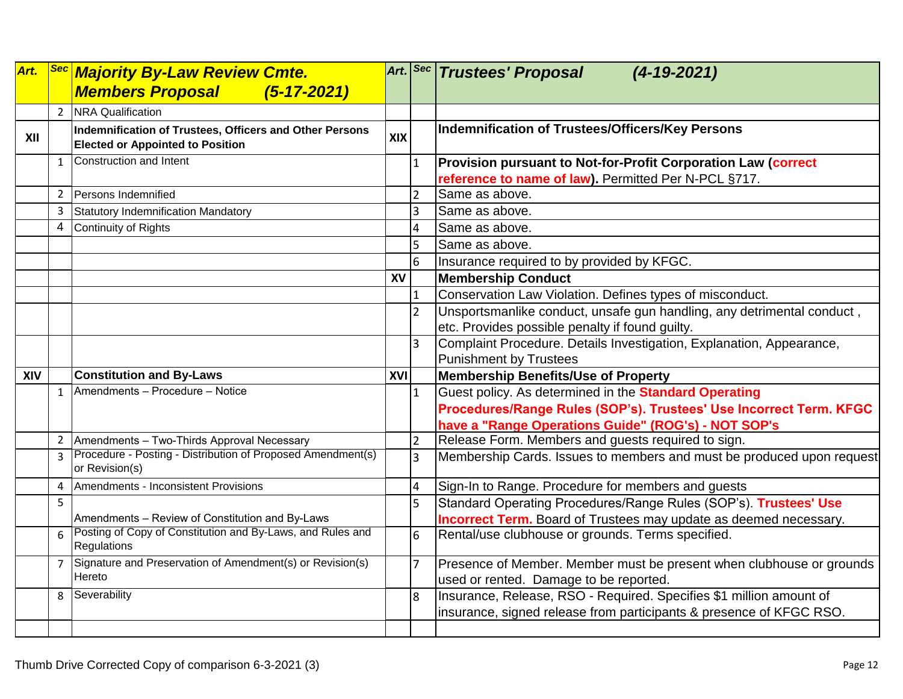| Art. |                | <b>Sec Majority By-Law Review Cmte.</b>                                                            |            | $Art.$ Sec      | <b>Trustees' Proposal</b><br>$(4 - 19 - 2021)$                           |
|------|----------------|----------------------------------------------------------------------------------------------------|------------|-----------------|--------------------------------------------------------------------------|
|      |                | <b>Members Proposal</b><br>$(5 - 17 - 2021)$                                                       |            |                 |                                                                          |
|      |                | 2 NRA Qualification                                                                                |            |                 |                                                                          |
| XII  |                | Indemnification of Trustees, Officers and Other Persons<br><b>Elected or Appointed to Position</b> | <b>XIX</b> |                 | Indemnification of Trustees/Officers/Key Persons                         |
|      |                | 1 Construction and Intent                                                                          |            | $\mathbf 1$     | Provision pursuant to Not-for-Profit Corporation Law (correct            |
|      |                |                                                                                                    |            |                 | reference to name of law). Permitted Per N-PCL §717.                     |
|      |                | 2 Persons Indemnified                                                                              |            | $\overline{2}$  | Same as above.                                                           |
|      |                | 3 Statutory Indemnification Mandatory                                                              |            | $\overline{3}$  | Same as above.                                                           |
|      |                | 4 Continuity of Rights                                                                             |            | $\overline{4}$  | Same as above.                                                           |
|      |                |                                                                                                    |            | 5               | Same as above.                                                           |
|      |                |                                                                                                    |            | $6\overline{6}$ | Insurance required to by provided by KFGC.                               |
|      |                |                                                                                                    | XV         |                 | <b>Membership Conduct</b>                                                |
|      |                |                                                                                                    |            | $\overline{1}$  | Conservation Law Violation. Defines types of misconduct.                 |
|      |                |                                                                                                    |            | $\overline{2}$  | Unsportsmanlike conduct, unsafe gun handling, any detrimental conduct,   |
|      |                |                                                                                                    |            |                 | etc. Provides possible penalty if found guilty.                          |
|      |                |                                                                                                    |            | l3              | Complaint Procedure. Details Investigation, Explanation, Appearance,     |
|      |                |                                                                                                    |            |                 | <b>Punishment by Trustees</b>                                            |
| XIV  |                | <b>Constitution and By-Laws</b>                                                                    | XVI        |                 | <b>Membership Benefits/Use of Property</b>                               |
|      |                | 1 Amendments - Procedure - Notice                                                                  |            | $\overline{1}$  | Guest policy. As determined in the <b>Standard Operating</b>             |
|      |                |                                                                                                    |            |                 | Procedures/Range Rules (SOP's). Trustees' Use Incorrect Term. KFGC       |
|      |                |                                                                                                    |            |                 | have a "Range Operations Guide" (ROG's) - NOT SOP's                      |
|      |                | 2 Amendments - Two-Thirds Approval Necessary                                                       |            | $\overline{2}$  | Release Form. Members and guests required to sign.                       |
|      | $\overline{3}$ | Procedure - Posting - Distribution of Proposed Amendment(s)<br>or Revision(s)                      |            | $\overline{3}$  | Membership Cards. Issues to members and must be produced upon request    |
|      |                | 4 Amendments - Inconsistent Provisions                                                             |            | $\overline{4}$  | Sign-In to Range. Procedure for members and guests                       |
|      | 5              |                                                                                                    |            | $\overline{5}$  | Standard Operating Procedures/Range Rules (SOP's). Trustees' Use         |
|      |                | Amendments - Review of Constitution and By-Laws                                                    |            |                 | <b>Incorrect Term.</b> Board of Trustees may update as deemed necessary. |
|      | 6              | Posting of Copy of Constitution and By-Laws, and Rules and<br>Regulations                          |            | $6\overline{6}$ | Rental/use clubhouse or grounds. Terms specified.                        |
|      |                | 7 Signature and Preservation of Amendment(s) or Revision(s)                                        |            | 17              | Presence of Member. Member must be present when clubhouse or grounds     |
|      |                | Hereto                                                                                             |            |                 | used or rented. Damage to be reported.                                   |
|      |                | 8 Severability                                                                                     |            | $\overline{8}$  | Insurance, Release, RSO - Required. Specifies \$1 million amount of      |
|      |                |                                                                                                    |            |                 | insurance, signed release from participants & presence of KFGC RSO.      |
|      |                |                                                                                                    |            |                 |                                                                          |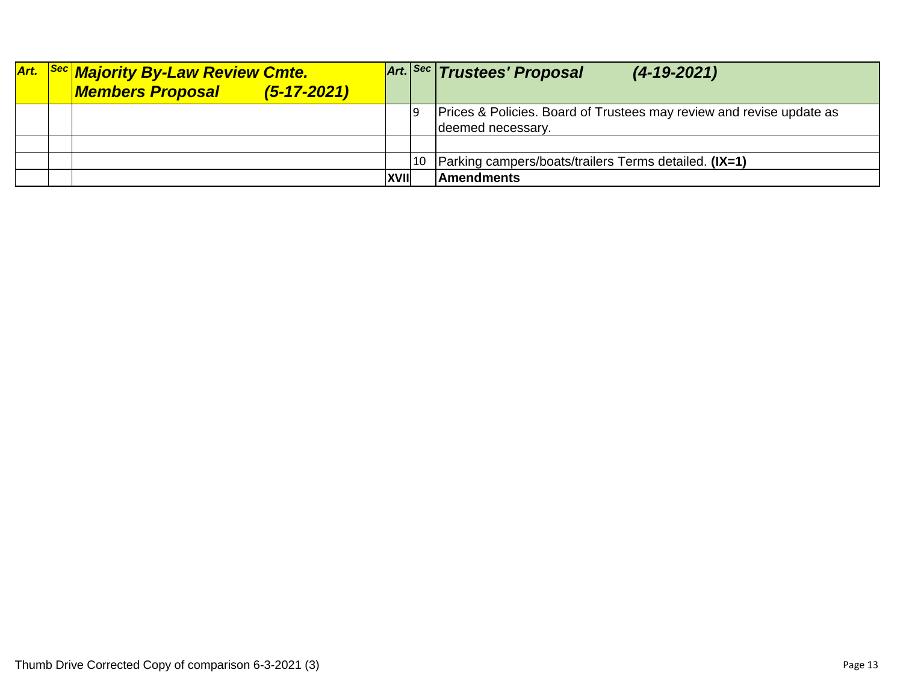| Art. | <b>Sec Majority By-Law Review Cmte.</b><br><u> Members Proposal_</u><br>$(5-17-2021)$ |             |     | Art.   Sec   Trustees' Proposal<br>$(4 - 19 - 2021)$                                      |
|------|---------------------------------------------------------------------------------------|-------------|-----|-------------------------------------------------------------------------------------------|
|      |                                                                                       |             | 19  | Prices & Policies. Board of Trustees may review and revise update as<br>deemed necessary. |
|      |                                                                                       |             |     |                                                                                           |
|      |                                                                                       |             | 110 | $\vert$ Parking campers/boats/trailers Terms detailed. (IX=1)                             |
|      |                                                                                       | <b>XVII</b> |     | <b>Amendments</b>                                                                         |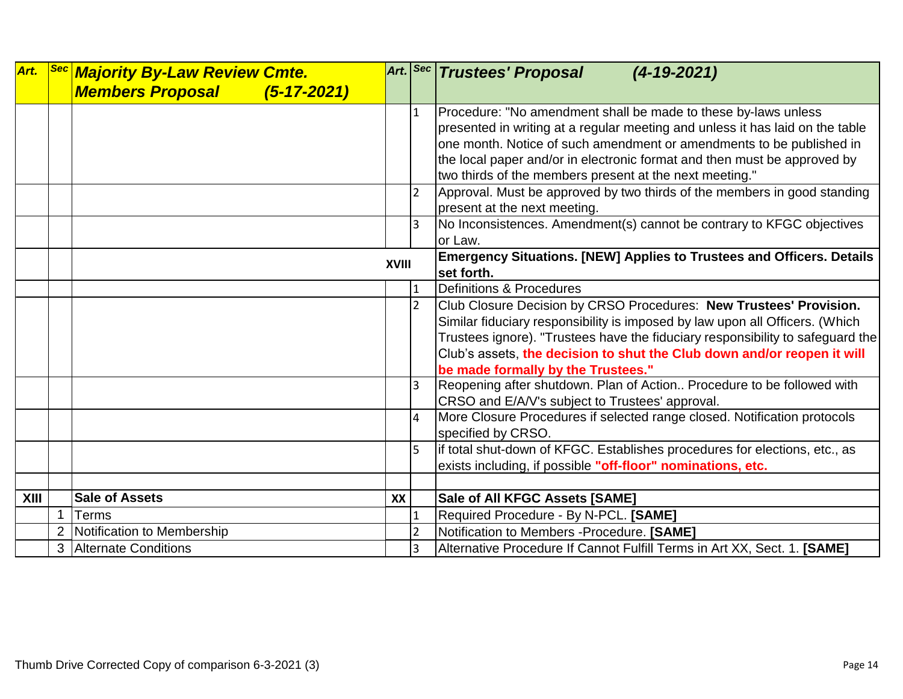| Art. | <b>Sec</b> | <b>Majority By-Law Review Cmte.</b>          |              |                | Art.   Sec   Trustees' Proposal<br>$(4 - 19 - 2021)$                                           |
|------|------------|----------------------------------------------|--------------|----------------|------------------------------------------------------------------------------------------------|
|      |            | <b>Members Proposal</b><br>$(5 - 17 - 2021)$ |              |                |                                                                                                |
|      |            |                                              |              | $\mathbf{1}$   | Procedure: "No amendment shall be made to these by-laws unless                                 |
|      |            |                                              |              |                | presented in writing at a regular meeting and unless it has laid on the table                  |
|      |            |                                              |              |                | one month. Notice of such amendment or amendments to be published in                           |
|      |            |                                              |              |                | the local paper and/or in electronic format and then must be approved by                       |
|      |            |                                              |              |                | two thirds of the members present at the next meeting."                                        |
|      |            |                                              |              | $\overline{2}$ | Approval. Must be approved by two thirds of the members in good standing                       |
|      |            |                                              |              |                | present at the next meeting.                                                                   |
|      |            |                                              |              | lЗ             | No Inconsistences. Amendment(s) cannot be contrary to KFGC objectives                          |
|      |            |                                              |              |                | or Law.                                                                                        |
|      |            |                                              | <b>XVIII</b> |                | <b>Emergency Situations. [NEW] Applies to Trustees and Officers. Details</b>                   |
|      |            |                                              |              |                | set forth.                                                                                     |
|      |            |                                              |              | 1              | Definitions & Procedures                                                                       |
|      |            |                                              |              | $\overline{2}$ | Club Closure Decision by CRSO Procedures: New Trustees' Provision.                             |
|      |            |                                              |              |                | Similar fiduciary responsibility is imposed by law upon all Officers. (Which                   |
|      |            |                                              |              |                | Trustees ignore). "Trustees have the fiduciary responsibility to safeguard the                 |
|      |            |                                              |              |                | Club's assets, the decision to shut the Club down and/or reopen it will                        |
|      |            |                                              |              |                | be made formally by the Trustees."                                                             |
|      |            |                                              |              | 3              | Reopening after shutdown. Plan of Action Procedure to be followed with                         |
|      |            |                                              |              |                | CRSO and E/A/V's subject to Trustees' approval.                                                |
|      |            |                                              |              | $\overline{4}$ | More Closure Procedures if selected range closed. Notification protocols<br>specified by CRSO. |
|      |            |                                              |              | l5             | if total shut-down of KFGC. Establishes procedures for elections, etc., as                     |
|      |            |                                              |              |                | exists including, if possible "off-floor" nominations, etc.                                    |
|      |            |                                              |              |                |                                                                                                |
| XIII |            | <b>Sale of Assets</b>                        | XX           |                | Sale of All KFGC Assets [SAME]                                                                 |
|      |            | 1 Terms                                      |              |                | Required Procedure - By N-PCL. [SAME]                                                          |
|      |            | 2   Notification to Membership               |              | $\overline{2}$ | Notification to Members - Procedure. [SAME]                                                    |
|      |            | 3 Alternate Conditions                       |              | 3              | Alternative Procedure If Cannot Fulfill Terms in Art XX, Sect. 1. [SAME]                       |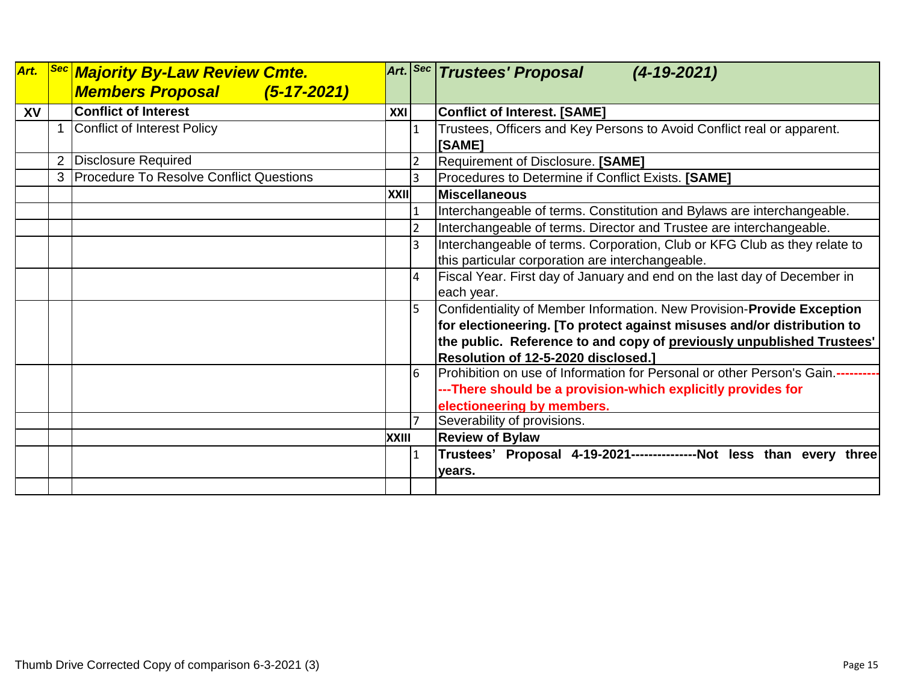| Art. | <b>Sec</b> | <b>Majority By-Law Review Cmte.</b>          |              |                | Art.   Sec   Trustees' Proposal<br>$(4 - 19 - 2021)$                            |
|------|------------|----------------------------------------------|--------------|----------------|---------------------------------------------------------------------------------|
|      |            | <b>Members Proposal</b><br>$(5 - 17 - 2021)$ |              |                |                                                                                 |
| XV   |            | <b>Conflict of Interest</b>                  | XXI          |                | <b>Conflict of Interest. [SAME]</b>                                             |
|      |            | 1 Conflict of Interest Policy                |              |                | Trustees, Officers and Key Persons to Avoid Conflict real or apparent.          |
|      |            |                                              |              |                | [SAME]                                                                          |
|      |            | 2 Disclosure Required                        |              |                | Requirement of Disclosure. [SAME]                                               |
|      |            | 3 Procedure To Resolve Conflict Questions    |              |                | Procedures to Determine if Conflict Exists. [SAME]                              |
|      |            |                                              | <b>XXII</b>  |                | <b>Miscellaneous</b>                                                            |
|      |            |                                              |              |                | Interchangeable of terms. Constitution and Bylaws are interchangeable.          |
|      |            |                                              |              |                | Interchangeable of terms. Director and Trustee are interchangeable.             |
|      |            |                                              |              | $\overline{3}$ | Interchangeable of terms. Corporation, Club or KFG Club as they relate to       |
|      |            |                                              |              |                | this particular corporation are interchangeable.                                |
|      |            |                                              |              | $\overline{4}$ | Fiscal Year. First day of January and end on the last day of December in        |
|      |            |                                              |              |                | each year.                                                                      |
|      |            |                                              |              | 5              | Confidentiality of Member Information. New Provision-Provide Exception          |
|      |            |                                              |              |                | for electioneering. [To protect against misuses and/or distribution to          |
|      |            |                                              |              |                | the public. Reference to and copy of previously unpublished Trustees'           |
|      |            |                                              |              |                | Resolution of 12-5-2020 disclosed.]                                             |
|      |            |                                              |              | 6              | Prohibition on use of Information for Personal or other Person's Gain.--------- |
|      |            |                                              |              |                | ---There should be a provision-which explicitly provides for                    |
|      |            |                                              |              |                | electioneering by members.                                                      |
|      |            |                                              |              |                | Severability of provisions.                                                     |
|      |            |                                              | <b>XXIII</b> |                | <b>Review of Bylaw</b>                                                          |
|      |            |                                              |              | 1              | Trustees' Proposal 4-19-2021----------------Not less than every three           |
|      |            |                                              |              |                | years.                                                                          |
|      |            |                                              |              |                |                                                                                 |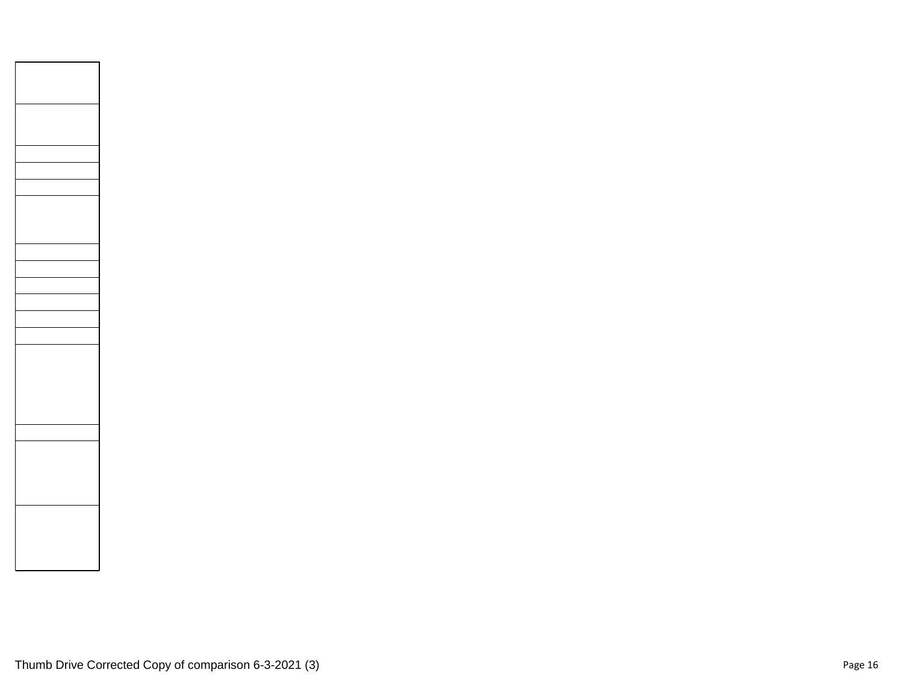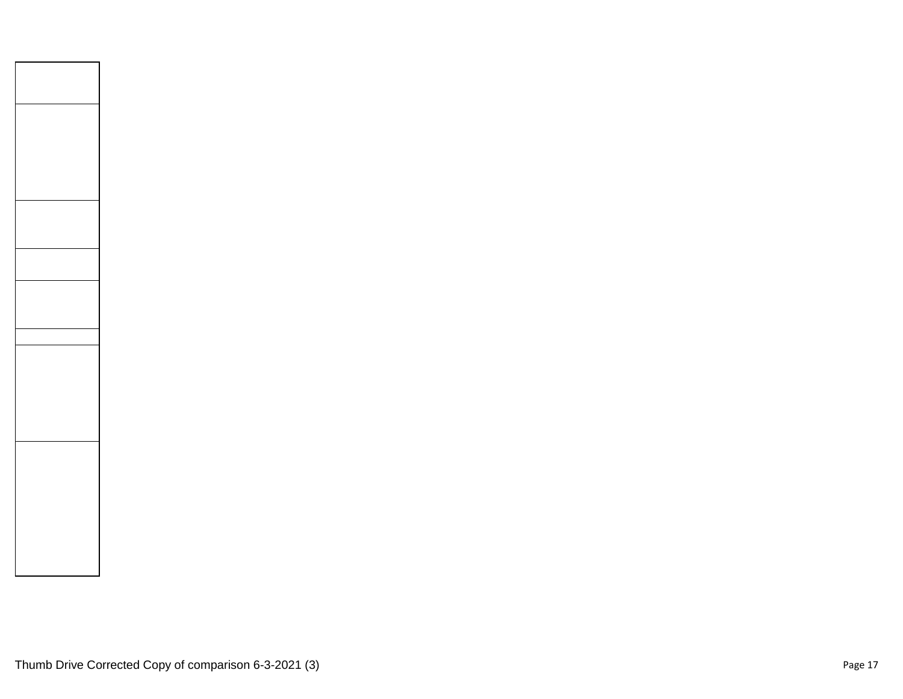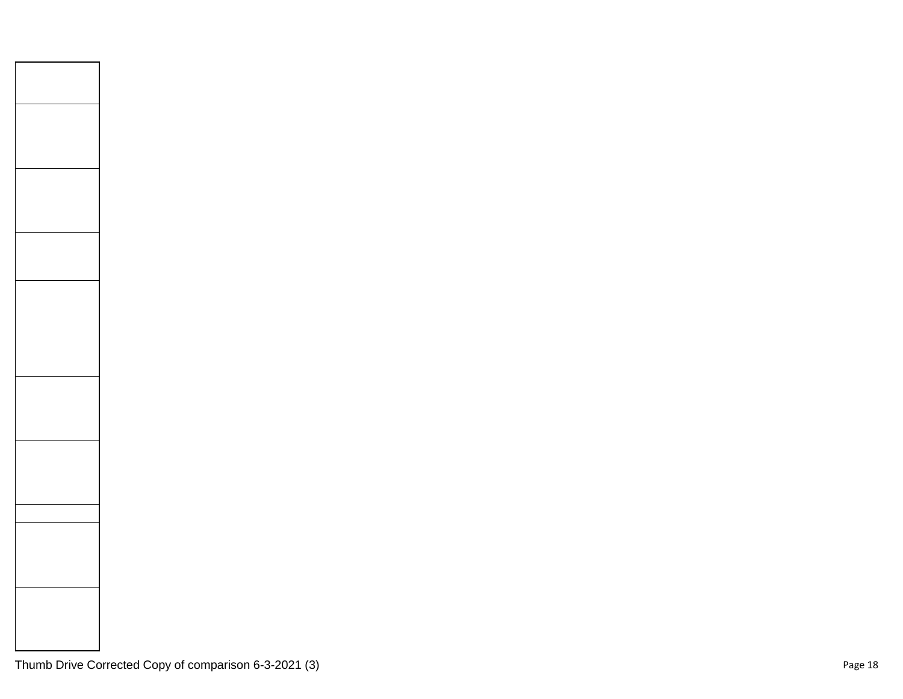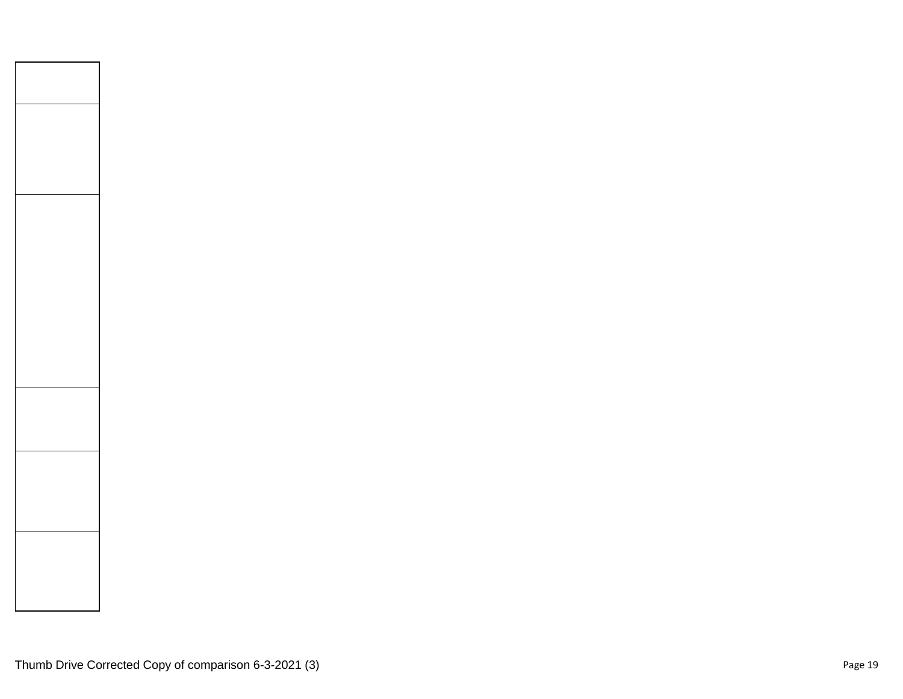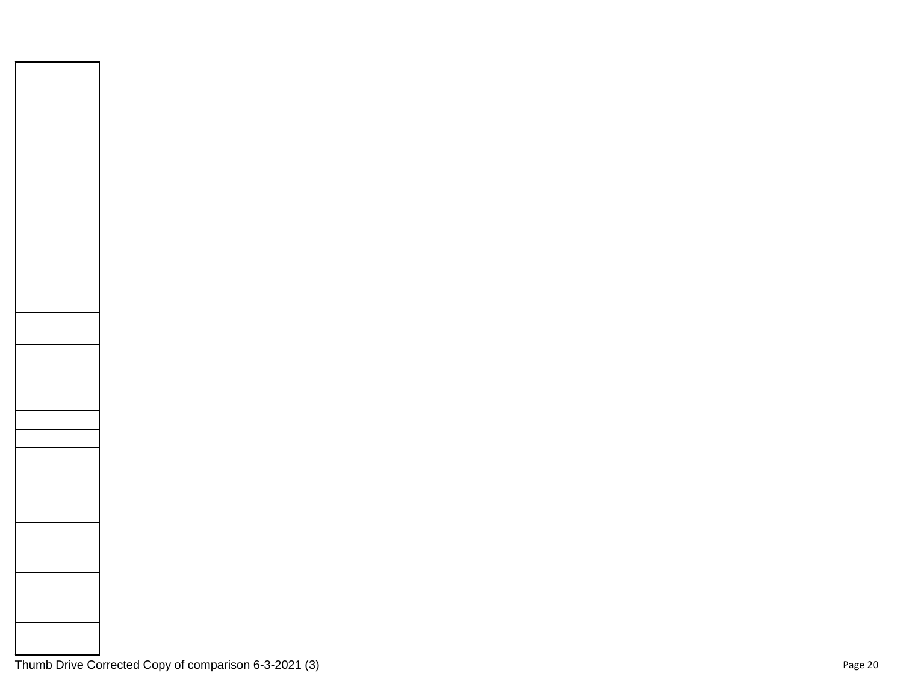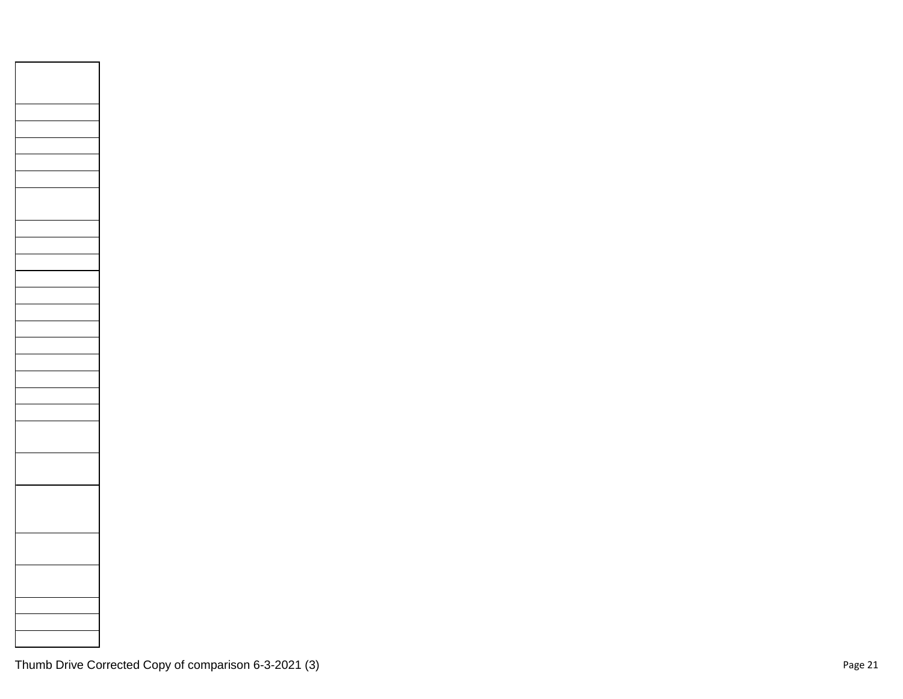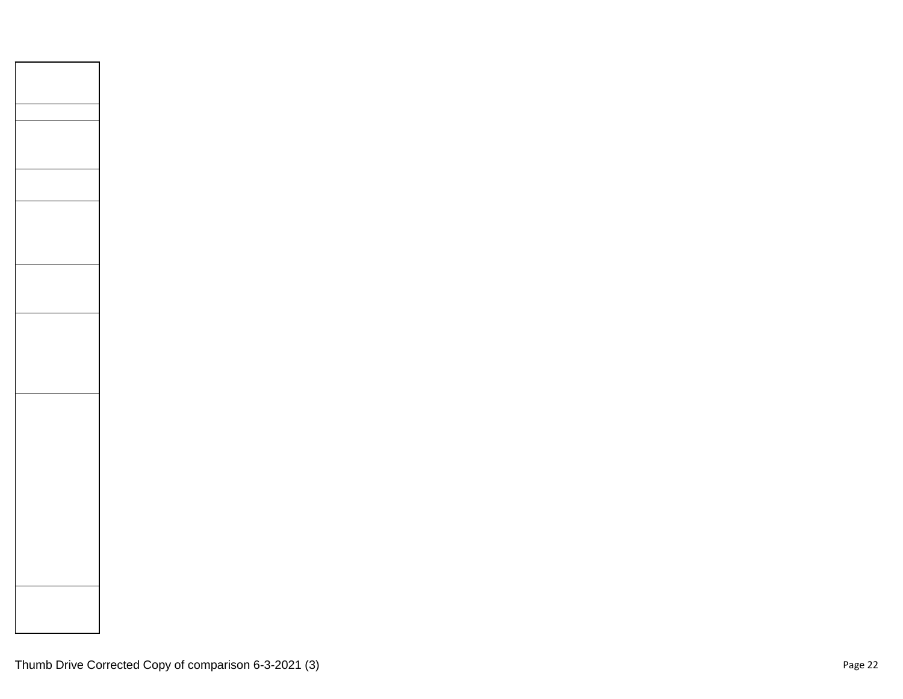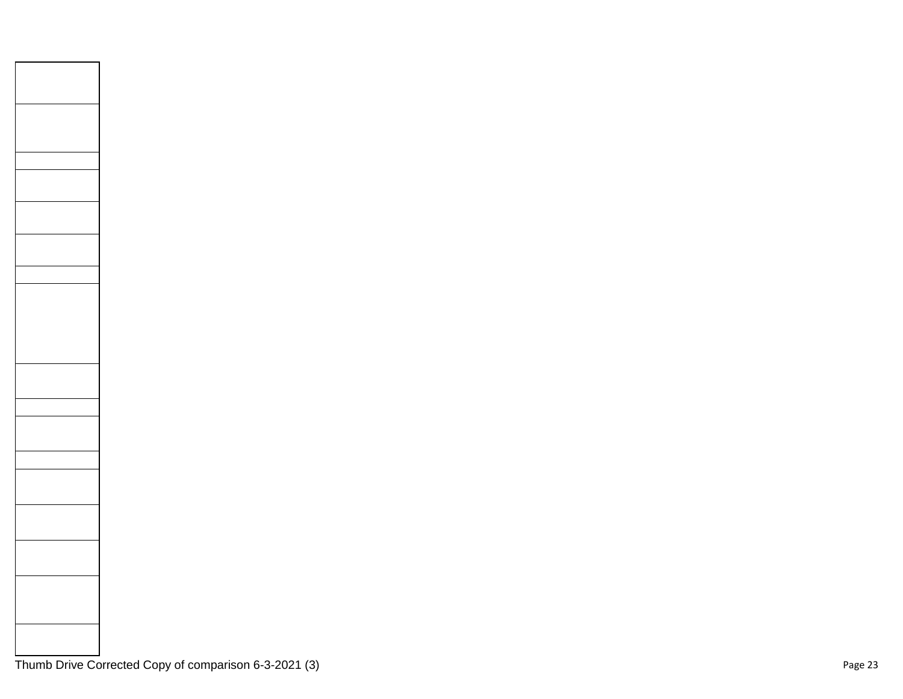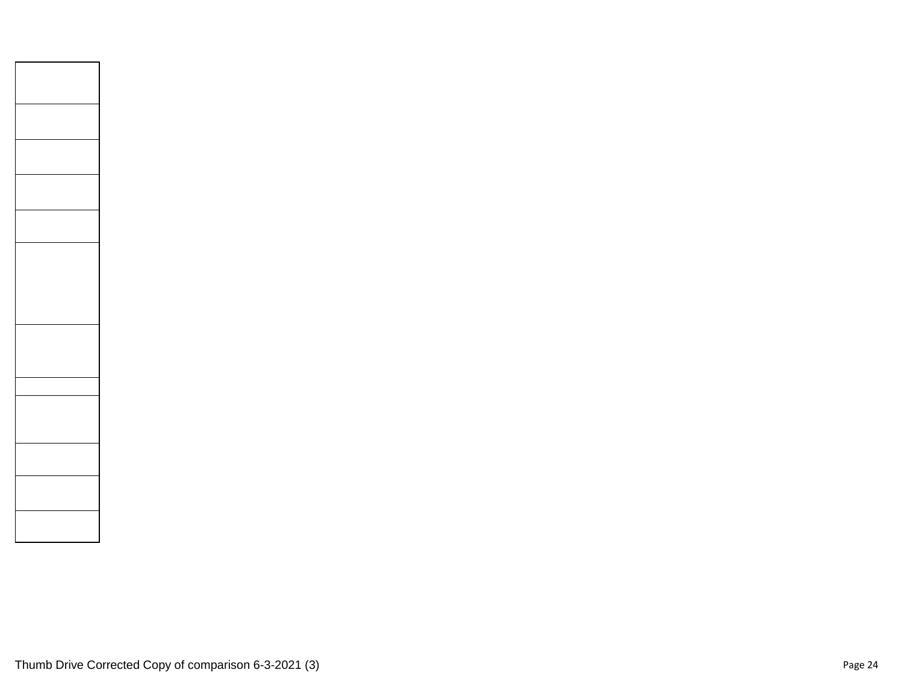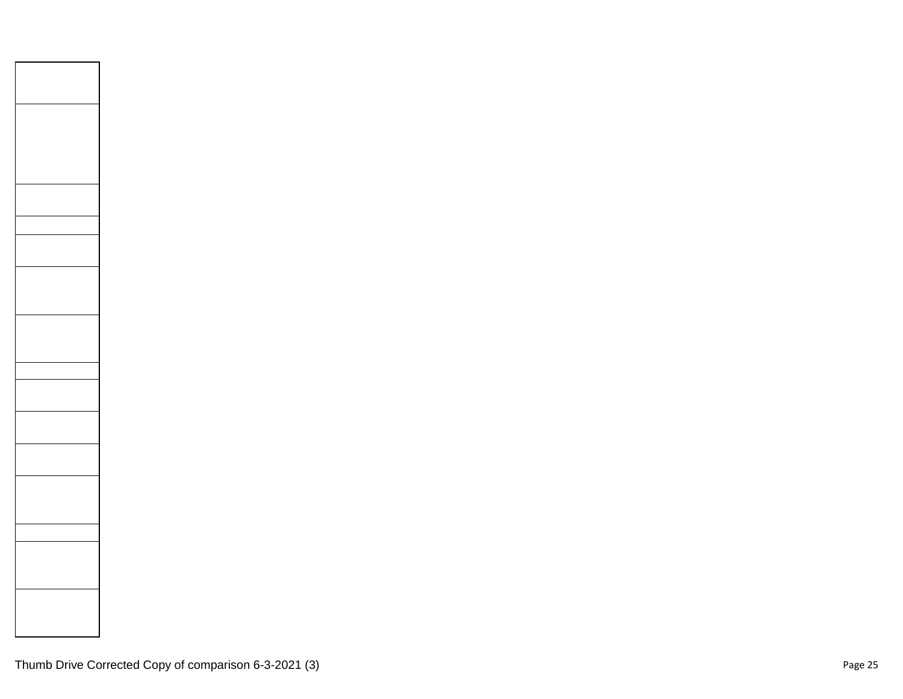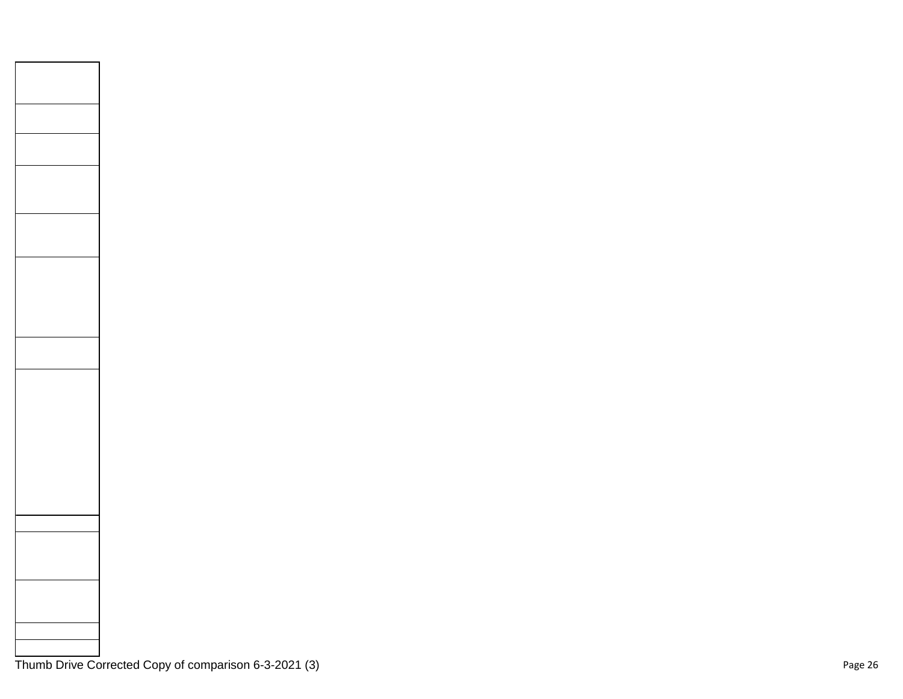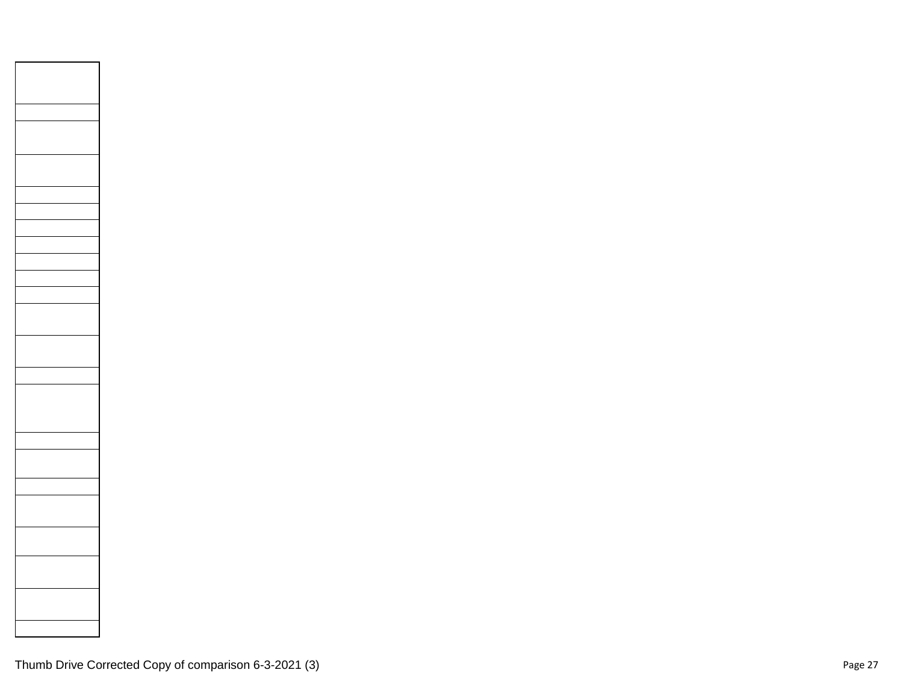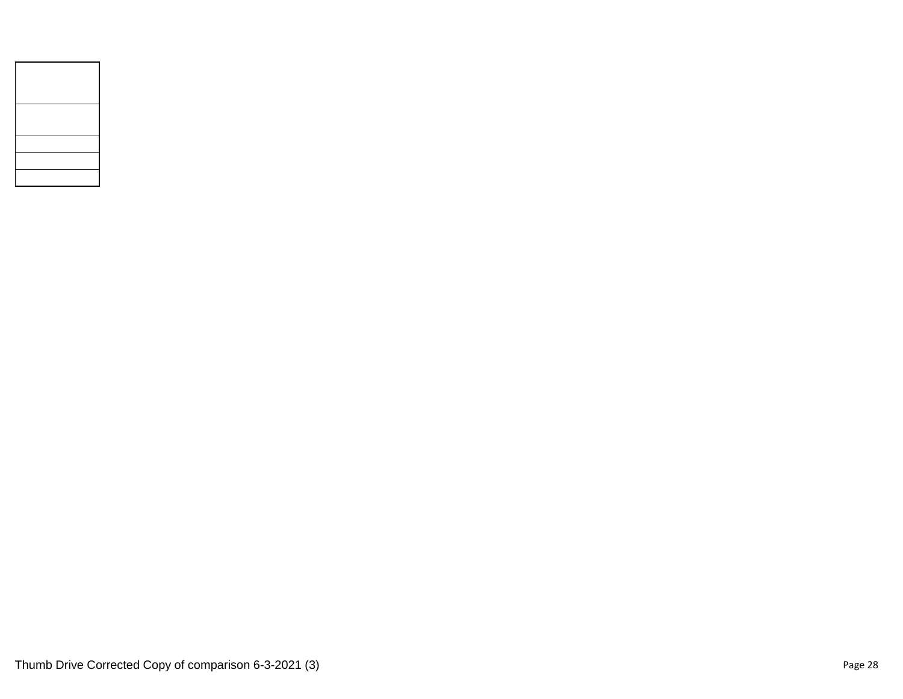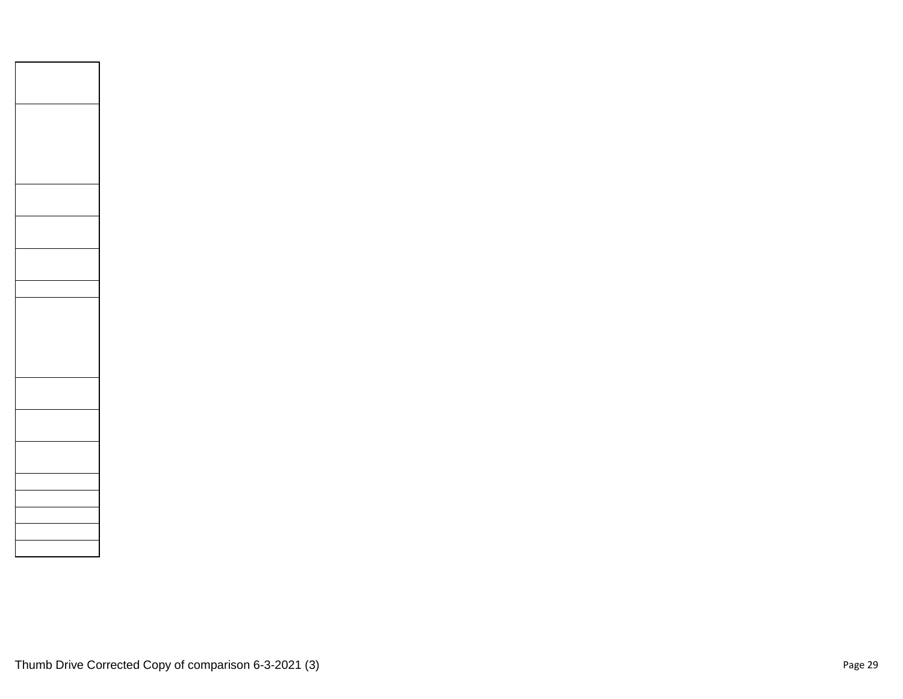